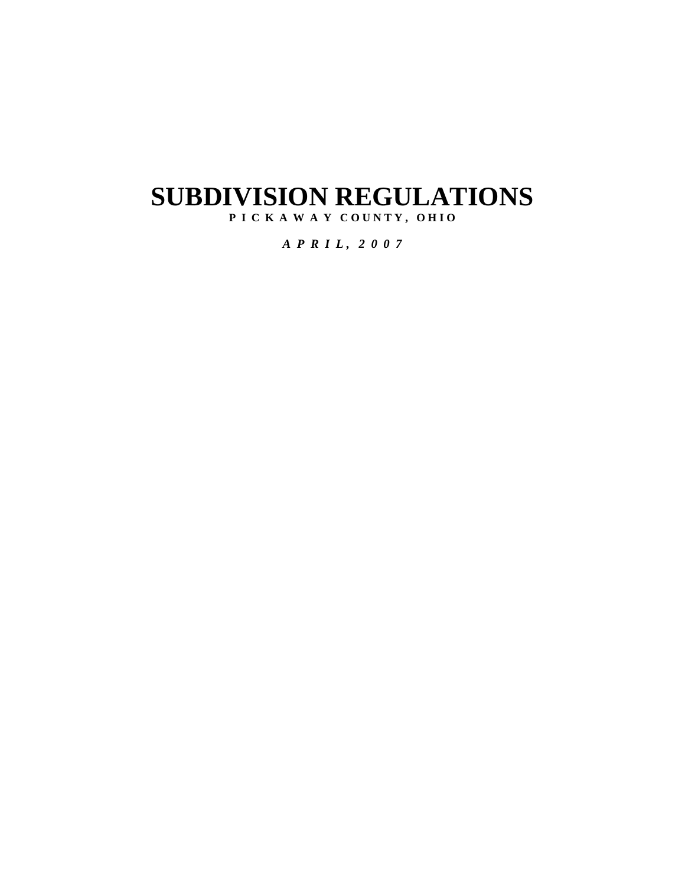# **SUBDIVISION REGULATIONS**

P I C K A W A Y COUNTY, OHIO

*A P R I L , 2 0 0 7*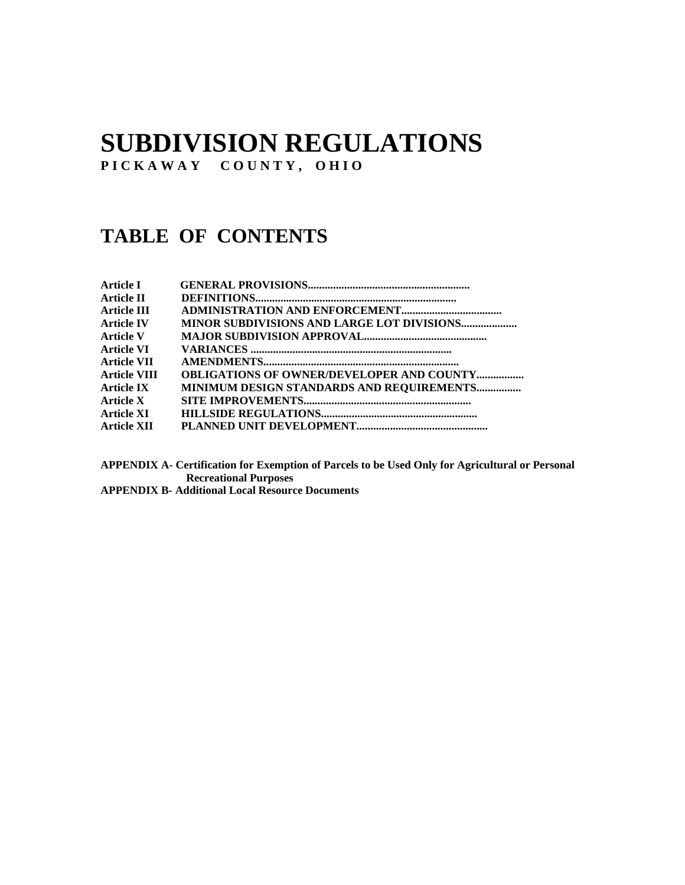## **SUBDIVISION REGULATIONS**

**P I C K A W A Y C O U N T Y , O H I O** 

### **TABLE OF CONTENTS**

| <b>Article I</b>    |                                                   |
|---------------------|---------------------------------------------------|
| Article II          |                                                   |
| Article III         |                                                   |
| <b>Article IV</b>   | <b>MINOR SUBDIVISIONS AND LARGE LOT DIVISIONS</b> |
| <b>Article V</b>    |                                                   |
| Article VI          |                                                   |
| Article VII         |                                                   |
| <b>Article VIII</b> | <b>OBLIGATIONS OF OWNER/DEVELOPER AND COUNTY</b>  |
| Article IX          | <b>MINIMUM DESIGN STANDARDS AND REQUIREMENTS</b>  |
| Article X           |                                                   |
| Article XI          |                                                   |
| <b>Article XII</b>  |                                                   |

**APPENDIX A- Certification for Exemption of Parcels to be Used Only for Agricultural or Personal Recreational Purposes** 

**APPENDIX B- Additional Local Resource Documents**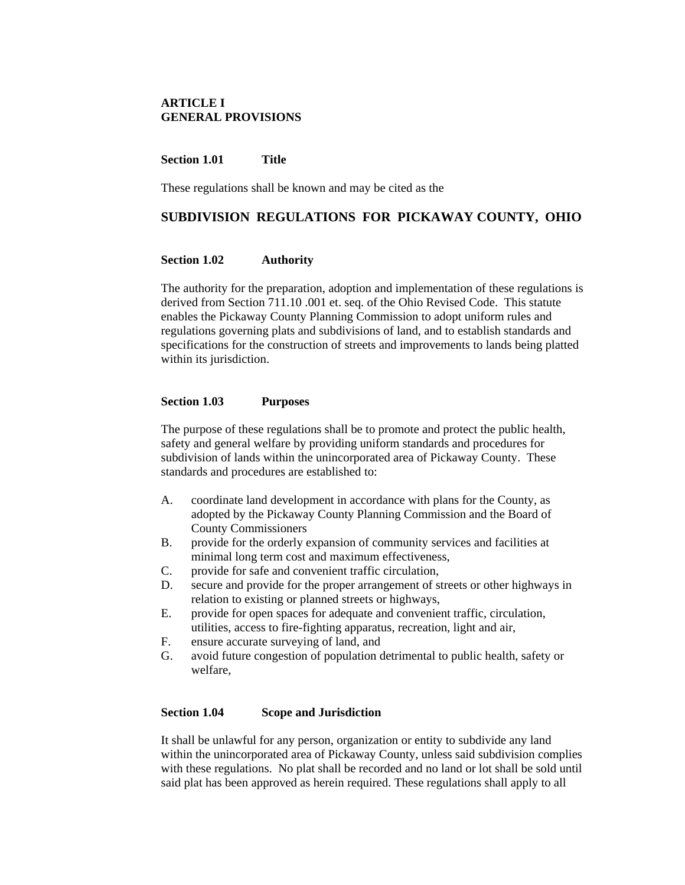#### **ARTICLE I GENERAL PROVISIONS**

#### **Section 1.01 Title**

These regulations shall be known and may be cited as the

#### **SUBDIVISION REGULATIONS FOR PICKAWAY COUNTY, OHIO**

#### **Section 1.02 Authority**

The authority for the preparation, adoption and implementation of these regulations is derived from Section 711.10 .001 et. seq. of the Ohio Revised Code. This statute enables the Pickaway County Planning Commission to adopt uniform rules and regulations governing plats and subdivisions of land, and to establish standards and specifications for the construction of streets and improvements to lands being platted within its jurisdiction.

#### **Section 1.03 Purposes**

The purpose of these regulations shall be to promote and protect the public health, safety and general welfare by providing uniform standards and procedures for subdivision of lands within the unincorporated area of Pickaway County. These standards and procedures are established to:

- A. coordinate land development in accordance with plans for the County, as adopted by the Pickaway County Planning Commission and the Board of County Commissioners
- B. provide for the orderly expansion of community services and facilities at minimal long term cost and maximum effectiveness,
- C. provide for safe and convenient traffic circulation,
- D. secure and provide for the proper arrangement of streets or other highways in relation to existing or planned streets or highways,
- E. provide for open spaces for adequate and convenient traffic, circulation, utilities, access to fire-fighting apparatus, recreation, light and air,
- F. ensure accurate surveying of land, and
- G. avoid future congestion of population detrimental to public health, safety or welfare,

#### **Section 1.04 Scope and Jurisdiction**

It shall be unlawful for any person, organization or entity to subdivide any land within the unincorporated area of Pickaway County, unless said subdivision complies with these regulations. No plat shall be recorded and no land or lot shall be sold until said plat has been approved as herein required. These regulations shall apply to all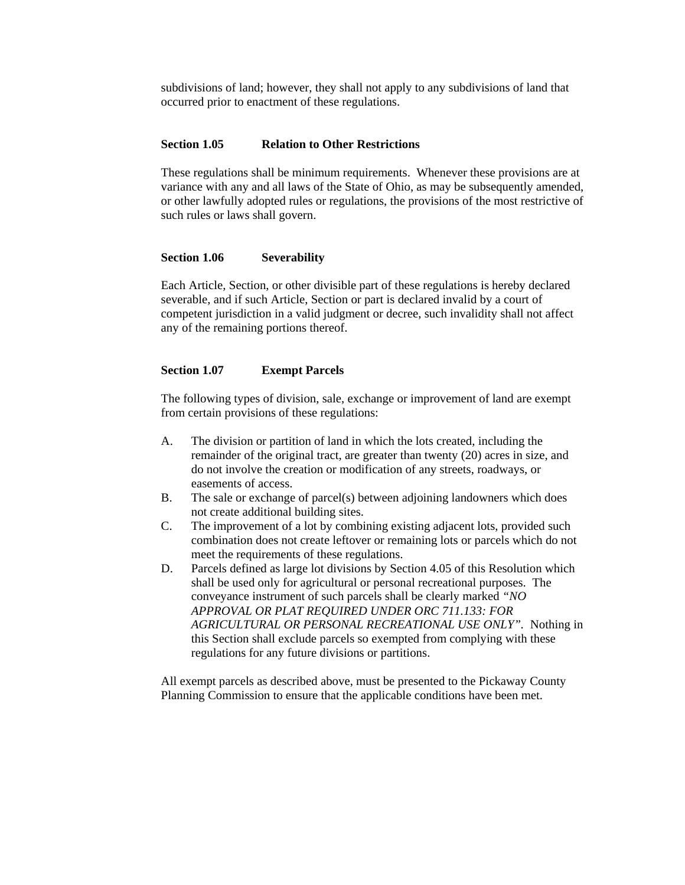subdivisions of land; however, they shall not apply to any subdivisions of land that occurred prior to enactment of these regulations.

#### **Section 1.05 Relation to Other Restrictions**

These regulations shall be minimum requirements. Whenever these provisions are at variance with any and all laws of the State of Ohio, as may be subsequently amended, or other lawfully adopted rules or regulations, the provisions of the most restrictive of such rules or laws shall govern.

#### **Section 1.06 Severability**

Each Article, Section, or other divisible part of these regulations is hereby declared severable, and if such Article, Section or part is declared invalid by a court of competent jurisdiction in a valid judgment or decree, such invalidity shall not affect any of the remaining portions thereof.

#### **Section 1.07 Exempt Parcels**

The following types of division, sale, exchange or improvement of land are exempt from certain provisions of these regulations:

- A. The division or partition of land in which the lots created, including the remainder of the original tract, are greater than twenty (20) acres in size, and do not involve the creation or modification of any streets, roadways, or easements of access.
- B. The sale or exchange of parcel(s) between adjoining landowners which does not create additional building sites.
- C. The improvement of a lot by combining existing adjacent lots, provided such combination does not create leftover or remaining lots or parcels which do not meet the requirements of these regulations.
- D. Parcels defined as large lot divisions by Section 4.05 of this Resolution which shall be used only for agricultural or personal recreational purposes. The conveyance instrument of such parcels shall be clearly marked *"NO APPROVAL OR PLAT REQUIRED UNDER ORC 711.133: FOR AGRICULTURAL OR PERSONAL RECREATIONAL USE ONLY".* Nothing in this Section shall exclude parcels so exempted from complying with these regulations for any future divisions or partitions.

All exempt parcels as described above, must be presented to the Pickaway County Planning Commission to ensure that the applicable conditions have been met.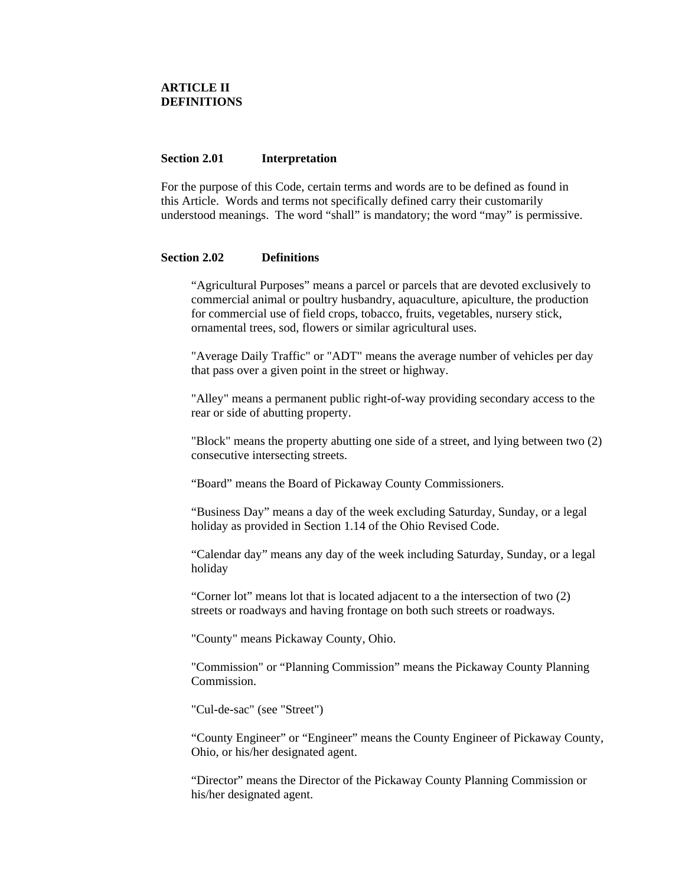#### **ARTICLE II DEFINITIONS**

#### **Section 2.01 Interpretation**

For the purpose of this Code, certain terms and words are to be defined as found in this Article. Words and terms not specifically defined carry their customarily understood meanings. The word "shall" is mandatory; the word "may" is permissive.

#### **Section 2.02 Definitions**

"Agricultural Purposes" means a parcel or parcels that are devoted exclusively to commercial animal or poultry husbandry, aquaculture, apiculture, the production for commercial use of field crops, tobacco, fruits, vegetables, nursery stick, ornamental trees, sod, flowers or similar agricultural uses.

"Average Daily Traffic" or "ADT" means the average number of vehicles per day that pass over a given point in the street or highway.

"Alley" means a permanent public right-of-way providing secondary access to the rear or side of abutting property.

"Block" means the property abutting one side of a street, and lying between two (2) consecutive intersecting streets.

"Board" means the Board of Pickaway County Commissioners.

"Business Day" means a day of the week excluding Saturday, Sunday, or a legal holiday as provided in Section 1.14 of the Ohio Revised Code.

"Calendar day" means any day of the week including Saturday, Sunday, or a legal holiday

"Corner lot" means lot that is located adjacent to a the intersection of two (2) streets or roadways and having frontage on both such streets or roadways.

"County" means Pickaway County, Ohio.

"Commission" or "Planning Commission" means the Pickaway County Planning Commission.

"Cul-de-sac" (see "Street")

"County Engineer" or "Engineer" means the County Engineer of Pickaway County, Ohio, or his/her designated agent.

"Director" means the Director of the Pickaway County Planning Commission or his/her designated agent.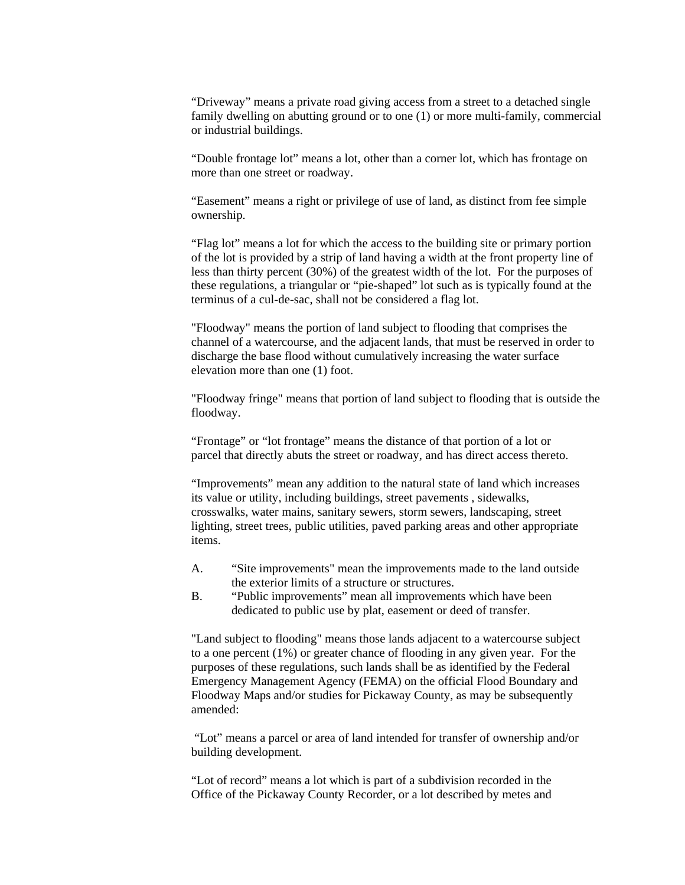"Driveway" means a private road giving access from a street to a detached single family dwelling on abutting ground or to one (1) or more multi-family, commercial or industrial buildings.

"Double frontage lot" means a lot, other than a corner lot, which has frontage on more than one street or roadway.

"Easement" means a right or privilege of use of land, as distinct from fee simple ownership.

"Flag lot" means a lot for which the access to the building site or primary portion of the lot is provided by a strip of land having a width at the front property line of less than thirty percent (30%) of the greatest width of the lot. For the purposes of these regulations, a triangular or "pie-shaped" lot such as is typically found at the terminus of a cul-de-sac, shall not be considered a flag lot.

"Floodway" means the portion of land subject to flooding that comprises the channel of a watercourse, and the adjacent lands, that must be reserved in order to discharge the base flood without cumulatively increasing the water surface elevation more than one (1) foot.

"Floodway fringe" means that portion of land subject to flooding that is outside the floodway.

"Frontage" or "lot frontage" means the distance of that portion of a lot or parcel that directly abuts the street or roadway, and has direct access thereto.

"Improvements" mean any addition to the natural state of land which increases its value or utility, including buildings, street pavements , sidewalks, crosswalks, water mains, sanitary sewers, storm sewers, landscaping, street lighting, street trees, public utilities, paved parking areas and other appropriate items.

- A. "Site improvements" mean the improvements made to the land outside the exterior limits of a structure or structures.
- B. "Public improvements" mean all improvements which have been dedicated to public use by plat, easement or deed of transfer.

"Land subject to flooding" means those lands adjacent to a watercourse subject to a one percent (1%) or greater chance of flooding in any given year. For the purposes of these regulations, such lands shall be as identified by the Federal Emergency Management Agency (FEMA) on the official Flood Boundary and Floodway Maps and/or studies for Pickaway County, as may be subsequently amended:

 "Lot" means a parcel or area of land intended for transfer of ownership and/or building development.

"Lot of record" means a lot which is part of a subdivision recorded in the Office of the Pickaway County Recorder, or a lot described by metes and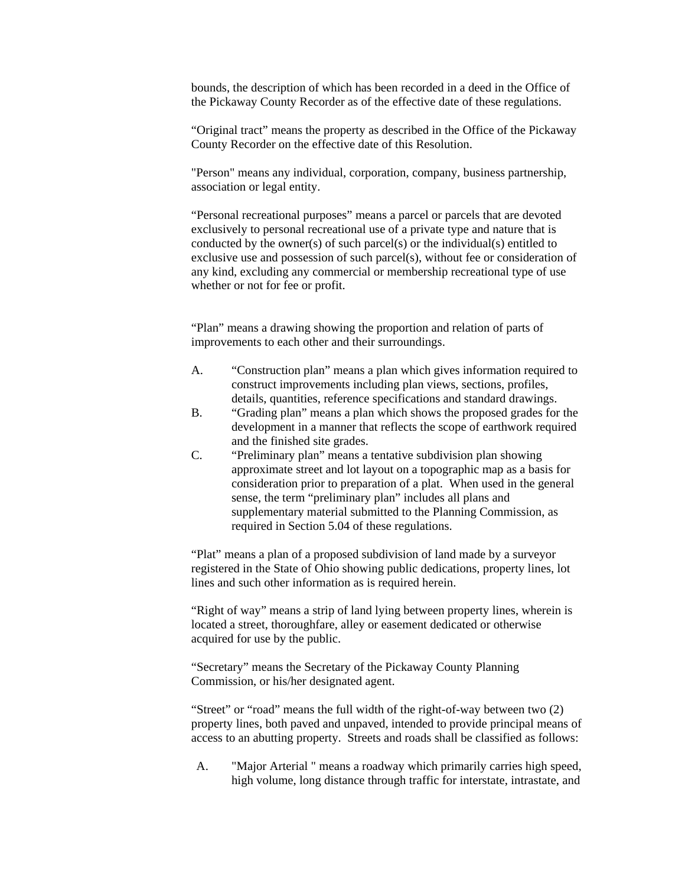bounds, the description of which has been recorded in a deed in the Office of the Pickaway County Recorder as of the effective date of these regulations.

"Original tract" means the property as described in the Office of the Pickaway County Recorder on the effective date of this Resolution.

"Person" means any individual, corporation, company, business partnership, association or legal entity.

"Personal recreational purposes" means a parcel or parcels that are devoted exclusively to personal recreational use of a private type and nature that is conducted by the owner(s) of such parcel(s) or the individual(s) entitled to exclusive use and possession of such parcel(s), without fee or consideration of any kind, excluding any commercial or membership recreational type of use whether or not for fee or profit.

"Plan" means a drawing showing the proportion and relation of parts of improvements to each other and their surroundings.

- A. "Construction plan" means a plan which gives information required to construct improvements including plan views, sections, profiles, details, quantities, reference specifications and standard drawings.
- B. "Grading plan" means a plan which shows the proposed grades for the development in a manner that reflects the scope of earthwork required and the finished site grades.
- C. "Preliminary plan" means a tentative subdivision plan showing approximate street and lot layout on a topographic map as a basis for consideration prior to preparation of a plat. When used in the general sense, the term "preliminary plan" includes all plans and supplementary material submitted to the Planning Commission, as required in Section 5.04 of these regulations.

"Plat" means a plan of a proposed subdivision of land made by a surveyor registered in the State of Ohio showing public dedications, property lines, lot lines and such other information as is required herein.

"Right of way" means a strip of land lying between property lines, wherein is located a street, thoroughfare, alley or easement dedicated or otherwise acquired for use by the public.

"Secretary" means the Secretary of the Pickaway County Planning Commission, or his/her designated agent.

"Street" or "road" means the full width of the right-of-way between two (2) property lines, both paved and unpaved, intended to provide principal means of access to an abutting property. Streets and roads shall be classified as follows:

A. "Major Arterial " means a roadway which primarily carries high speed, high volume, long distance through traffic for interstate, intrastate, and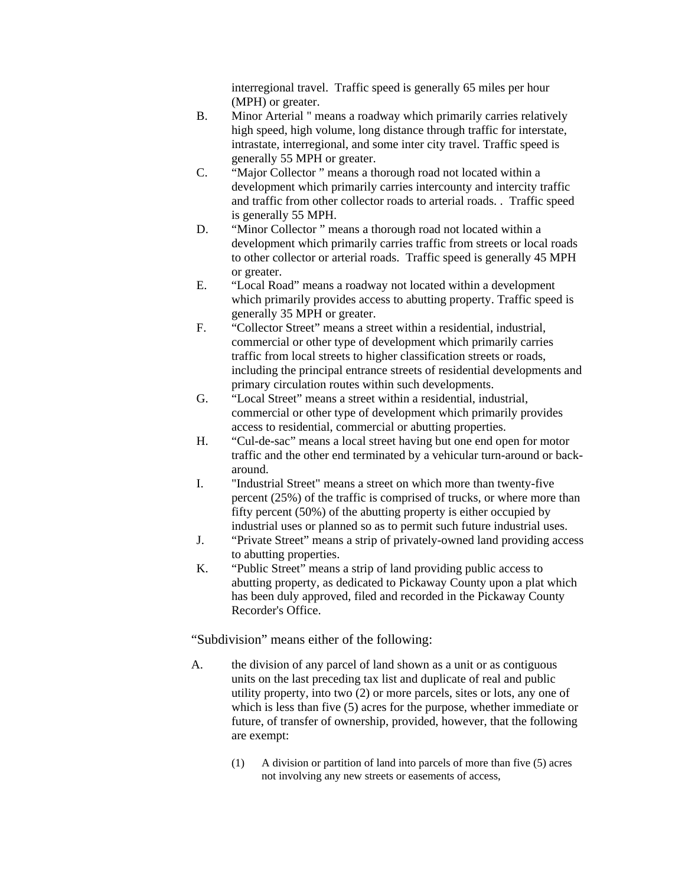interregional travel. Traffic speed is generally 65 miles per hour (MPH) or greater.

- B. Minor Arterial " means a roadway which primarily carries relatively high speed, high volume, long distance through traffic for interstate, intrastate, interregional, and some inter city travel. Traffic speed is generally 55 MPH or greater.
- C. "Major Collector " means a thorough road not located within a development which primarily carries intercounty and intercity traffic and traffic from other collector roads to arterial roads. . Traffic speed is generally 55 MPH.
- D. "Minor Collector " means a thorough road not located within a development which primarily carries traffic from streets or local roads to other collector or arterial roads. Traffic speed is generally 45 MPH or greater.
- E. "Local Road" means a roadway not located within a development which primarily provides access to abutting property. Traffic speed is generally 35 MPH or greater.
- F. "Collector Street" means a street within a residential, industrial, commercial or other type of development which primarily carries traffic from local streets to higher classification streets or roads, including the principal entrance streets of residential developments and primary circulation routes within such developments.
- G. "Local Street" means a street within a residential, industrial, commercial or other type of development which primarily provides access to residential, commercial or abutting properties.
- H. "Cul-de-sac" means a local street having but one end open for motor traffic and the other end terminated by a vehicular turn-around or backaround.
- I. "Industrial Street" means a street on which more than twenty-five percent (25%) of the traffic is comprised of trucks, or where more than fifty percent (50%) of the abutting property is either occupied by industrial uses or planned so as to permit such future industrial uses.
- J. "Private Street" means a strip of privately-owned land providing access to abutting properties.
- K. "Public Street" means a strip of land providing public access to abutting property, as dedicated to Pickaway County upon a plat which has been duly approved, filed and recorded in the Pickaway County Recorder's Office.

"Subdivision" means either of the following:

- A. the division of any parcel of land shown as a unit or as contiguous units on the last preceding tax list and duplicate of real and public utility property, into two (2) or more parcels, sites or lots, any one of which is less than five (5) acres for the purpose, whether immediate or future, of transfer of ownership, provided, however, that the following are exempt:
	- (1) A division or partition of land into parcels of more than five (5) acres not involving any new streets or easements of access,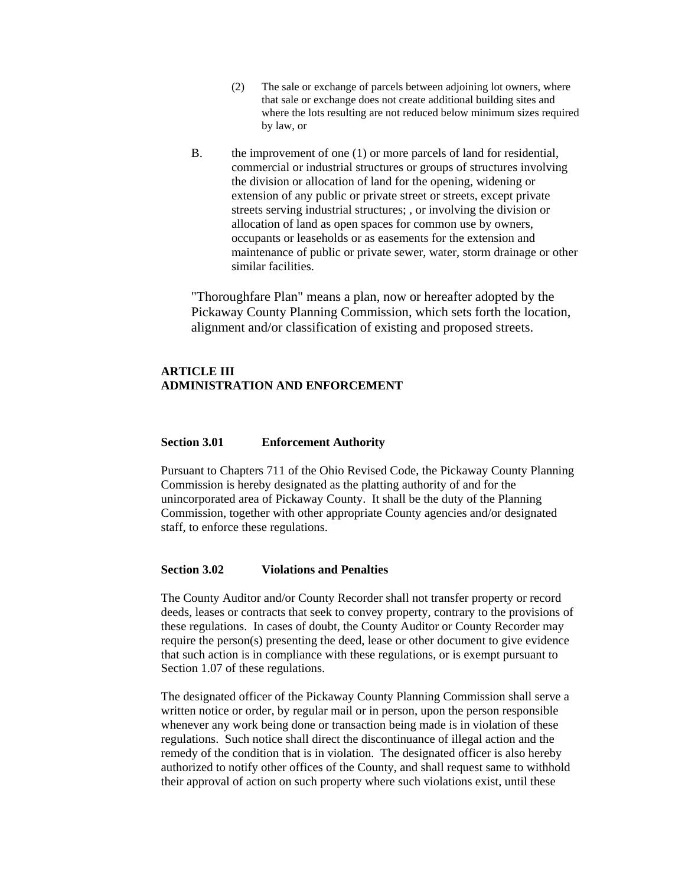- (2) The sale or exchange of parcels between adjoining lot owners, where that sale or exchange does not create additional building sites and where the lots resulting are not reduced below minimum sizes required by law, or
- B. the improvement of one (1) or more parcels of land for residential, commercial or industrial structures or groups of structures involving the division or allocation of land for the opening, widening or extension of any public or private street or streets, except private streets serving industrial structures; , or involving the division or allocation of land as open spaces for common use by owners, occupants or leaseholds or as easements for the extension and maintenance of public or private sewer, water, storm drainage or other similar facilities.

"Thoroughfare Plan" means a plan, now or hereafter adopted by the Pickaway County Planning Commission, which sets forth the location, alignment and/or classification of existing and proposed streets.

#### **ARTICLE III ADMINISTRATION AND ENFORCEMENT**

#### **Section 3.01 Enforcement Authority**

Pursuant to Chapters 711 of the Ohio Revised Code, the Pickaway County Planning Commission is hereby designated as the platting authority of and for the unincorporated area of Pickaway County. It shall be the duty of the Planning Commission, together with other appropriate County agencies and/or designated staff, to enforce these regulations.

#### **Section 3.02 Violations and Penalties**

The County Auditor and/or County Recorder shall not transfer property or record deeds, leases or contracts that seek to convey property, contrary to the provisions of these regulations. In cases of doubt, the County Auditor or County Recorder may require the person(s) presenting the deed, lease or other document to give evidence that such action is in compliance with these regulations, or is exempt pursuant to Section 1.07 of these regulations.

The designated officer of the Pickaway County Planning Commission shall serve a written notice or order, by regular mail or in person, upon the person responsible whenever any work being done or transaction being made is in violation of these regulations. Such notice shall direct the discontinuance of illegal action and the remedy of the condition that is in violation. The designated officer is also hereby authorized to notify other offices of the County, and shall request same to withhold their approval of action on such property where such violations exist, until these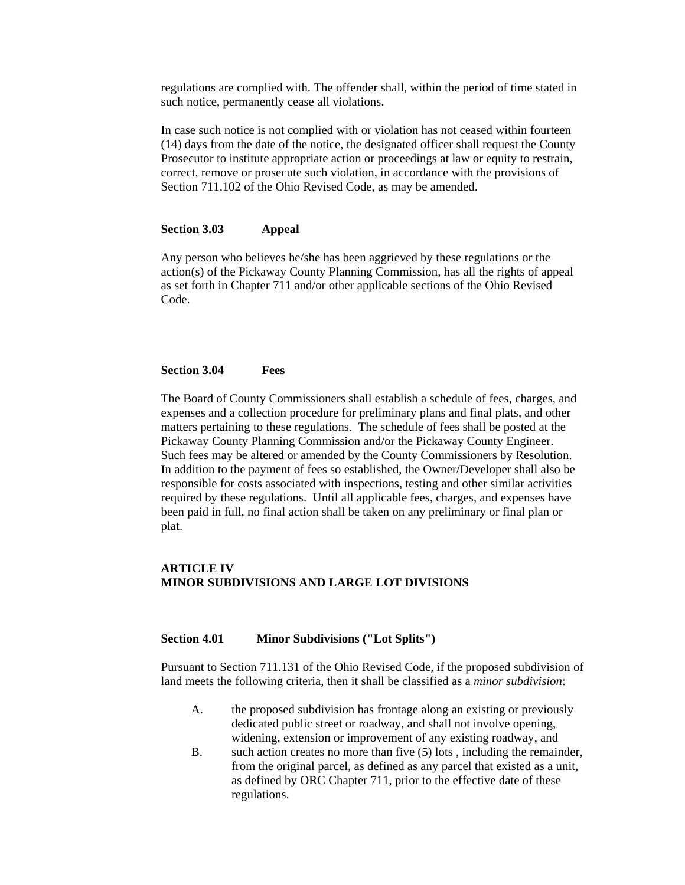regulations are complied with. The offender shall, within the period of time stated in such notice, permanently cease all violations.

In case such notice is not complied with or violation has not ceased within fourteen (14) days from the date of the notice, the designated officer shall request the County Prosecutor to institute appropriate action or proceedings at law or equity to restrain, correct, remove or prosecute such violation, in accordance with the provisions of Section 711.102 of the Ohio Revised Code, as may be amended.

#### **Section 3.03 Appeal**

Any person who believes he/she has been aggrieved by these regulations or the action(s) of the Pickaway County Planning Commission, has all the rights of appeal as set forth in Chapter 711 and/or other applicable sections of the Ohio Revised Code.

#### **Section 3.04 Fees**

The Board of County Commissioners shall establish a schedule of fees, charges, and expenses and a collection procedure for preliminary plans and final plats, and other matters pertaining to these regulations. The schedule of fees shall be posted at the Pickaway County Planning Commission and/or the Pickaway County Engineer. Such fees may be altered or amended by the County Commissioners by Resolution. In addition to the payment of fees so established, the Owner/Developer shall also be responsible for costs associated with inspections, testing and other similar activities required by these regulations. Until all applicable fees, charges, and expenses have been paid in full, no final action shall be taken on any preliminary or final plan or plat.

#### **ARTICLE IV MINOR SUBDIVISIONS AND LARGE LOT DIVISIONS**

#### **Section 4.01 Minor Subdivisions ("Lot Splits")**

Pursuant to Section 711.131 of the Ohio Revised Code, if the proposed subdivision of land meets the following criteria, then it shall be classified as a *minor subdivision*:

- A. the proposed subdivision has frontage along an existing or previously dedicated public street or roadway, and shall not involve opening, widening, extension or improvement of any existing roadway, and
- B. such action creates no more than five (5) lots , including the remainder, from the original parcel, as defined as any parcel that existed as a unit, as defined by ORC Chapter 711, prior to the effective date of these regulations.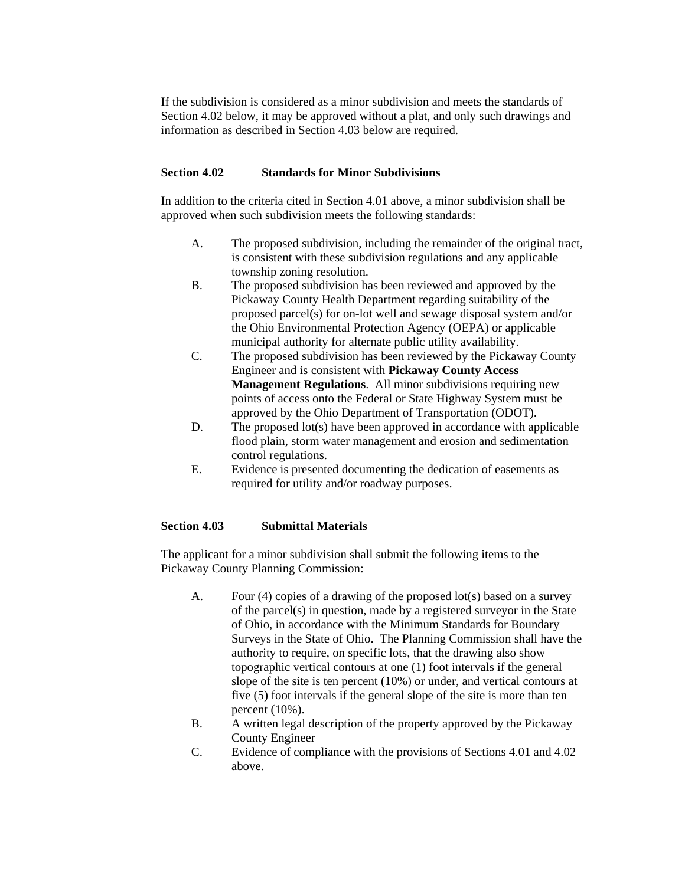If the subdivision is considered as a minor subdivision and meets the standards of Section 4.02 below, it may be approved without a plat, and only such drawings and information as described in Section 4.03 below are required.

#### **Section 4.02 Standards for Minor Subdivisions**

In addition to the criteria cited in Section 4.01 above, a minor subdivision shall be approved when such subdivision meets the following standards:

- A. The proposed subdivision, including the remainder of the original tract, is consistent with these subdivision regulations and any applicable township zoning resolution.
- B. The proposed subdivision has been reviewed and approved by the Pickaway County Health Department regarding suitability of the proposed parcel(s) for on-lot well and sewage disposal system and/or the Ohio Environmental Protection Agency (OEPA) or applicable municipal authority for alternate public utility availability.
- C. The proposed subdivision has been reviewed by the Pickaway County Engineer and is consistent with **Pickaway County Access Management Regulations**. All minor subdivisions requiring new points of access onto the Federal or State Highway System must be approved by the Ohio Department of Transportation (ODOT).
- D. The proposed lot(s) have been approved in accordance with applicable flood plain, storm water management and erosion and sedimentation control regulations.
- E. Evidence is presented documenting the dedication of easements as required for utility and/or roadway purposes.

#### **Section 4.03 Submittal Materials**

The applicant for a minor subdivision shall submit the following items to the Pickaway County Planning Commission:

- A. Four (4) copies of a drawing of the proposed lot(s) based on a survey of the parcel(s) in question, made by a registered surveyor in the State of Ohio, in accordance with the Minimum Standards for Boundary Surveys in the State of Ohio. The Planning Commission shall have the authority to require, on specific lots, that the drawing also show topographic vertical contours at one (1) foot intervals if the general slope of the site is ten percent (10%) or under, and vertical contours at five (5) foot intervals if the general slope of the site is more than ten percent (10%).
- B. A written legal description of the property approved by the Pickaway County Engineer
- C. Evidence of compliance with the provisions of Sections 4.01 and 4.02 above.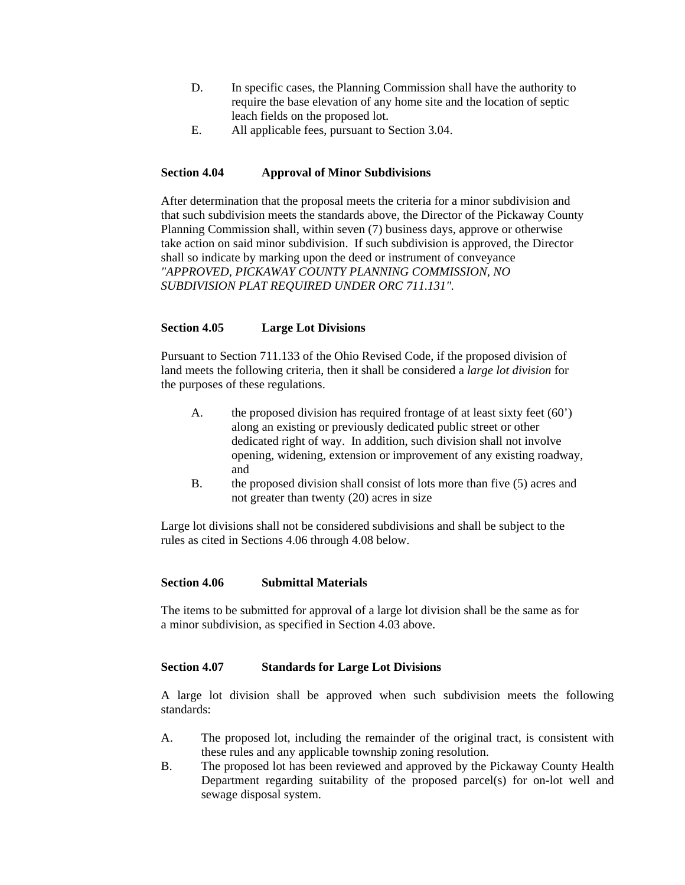- D. In specific cases, the Planning Commission shall have the authority to require the base elevation of any home site and the location of septic leach fields on the proposed lot.
- E. All applicable fees, pursuant to Section 3.04.

#### **Section 4.04 Approval of Minor Subdivisions**

After determination that the proposal meets the criteria for a minor subdivision and that such subdivision meets the standards above, the Director of the Pickaway County Planning Commission shall, within seven (7) business days, approve or otherwise take action on said minor subdivision. If such subdivision is approved, the Director shall so indicate by marking upon the deed or instrument of conveyance *"APPROVED, PICKAWAY COUNTY PLANNING COMMISSION, NO SUBDIVISION PLAT REQUIRED UNDER ORC 711.131".* 

#### **Section 4.05 Large Lot Divisions**

Pursuant to Section 711.133 of the Ohio Revised Code, if the proposed division of land meets the following criteria, then it shall be considered a *large lot division* for the purposes of these regulations.

- A. the proposed division has required frontage of at least sixty feet (60') along an existing or previously dedicated public street or other dedicated right of way. In addition, such division shall not involve opening, widening, extension or improvement of any existing roadway, and
- B. the proposed division shall consist of lots more than five (5) acres and not greater than twenty (20) acres in size

Large lot divisions shall not be considered subdivisions and shall be subject to the rules as cited in Sections 4.06 through 4.08 below.

#### **Section 4.06 Submittal Materials**

The items to be submitted for approval of a large lot division shall be the same as for a minor subdivision, as specified in Section 4.03 above.

#### **Section 4.07 Standards for Large Lot Divisions**

A large lot division shall be approved when such subdivision meets the following standards:

- A. The proposed lot, including the remainder of the original tract, is consistent with these rules and any applicable township zoning resolution.
- B. The proposed lot has been reviewed and approved by the Pickaway County Health Department regarding suitability of the proposed parcel(s) for on-lot well and sewage disposal system.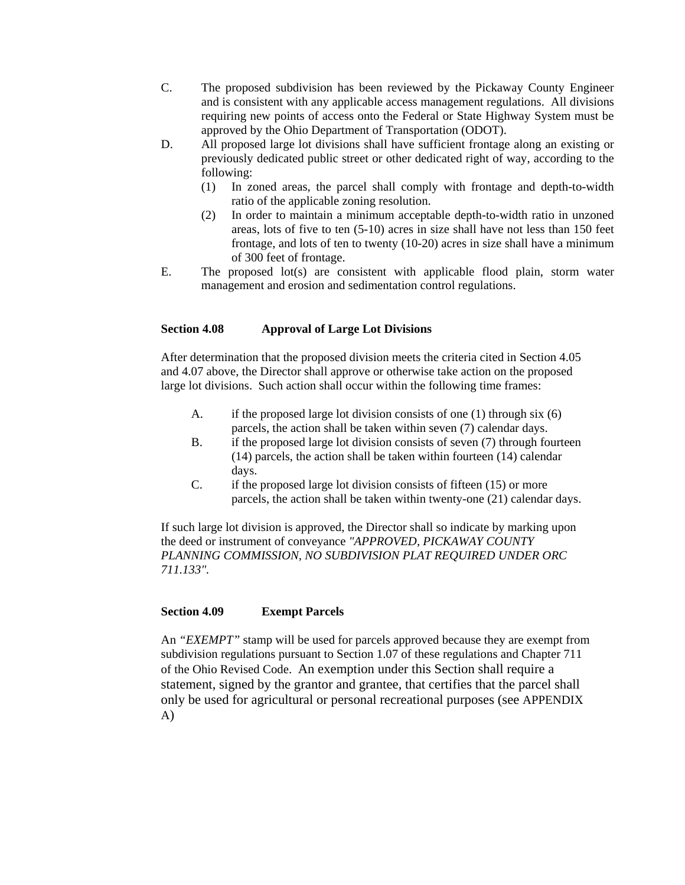- C. The proposed subdivision has been reviewed by the Pickaway County Engineer and is consistent with any applicable access management regulations. All divisions requiring new points of access onto the Federal or State Highway System must be approved by the Ohio Department of Transportation (ODOT).
- D. All proposed large lot divisions shall have sufficient frontage along an existing or previously dedicated public street or other dedicated right of way, according to the following:
	- (1) In zoned areas, the parcel shall comply with frontage and depth-to-width ratio of the applicable zoning resolution.
	- (2) In order to maintain a minimum acceptable depth-to-width ratio in unzoned areas, lots of five to ten (5-10) acres in size shall have not less than 150 feet frontage, and lots of ten to twenty (10-20) acres in size shall have a minimum of 300 feet of frontage.
- E. The proposed lot(s) are consistent with applicable flood plain, storm water management and erosion and sedimentation control regulations.

#### **Section 4.08 Approval of Large Lot Divisions**

After determination that the proposed division meets the criteria cited in Section 4.05 and 4.07 above, the Director shall approve or otherwise take action on the proposed large lot divisions. Such action shall occur within the following time frames:

- A. if the proposed large lot division consists of one  $(1)$  through six  $(6)$ parcels, the action shall be taken within seven (7) calendar days.
- B. if the proposed large lot division consists of seven (7) through fourteen (14) parcels, the action shall be taken within fourteen (14) calendar days.
- C. if the proposed large lot division consists of fifteen (15) or more parcels, the action shall be taken within twenty-one (21) calendar days.

If such large lot division is approved, the Director shall so indicate by marking upon the deed or instrument of conveyance *"APPROVED, PICKAWAY COUNTY PLANNING COMMISSION, NO SUBDIVISION PLAT REQUIRED UNDER ORC 711.133".*

#### **Section 4.09 Exempt Parcels**

An *"EXEMPT"* stamp will be used for parcels approved because they are exempt from subdivision regulations pursuant to Section 1.07 of these regulations and Chapter 711 of the Ohio Revised Code. An exemption under this Section shall require a statement, signed by the grantor and grantee, that certifies that the parcel shall only be used for agricultural or personal recreational purposes (see APPENDIX A)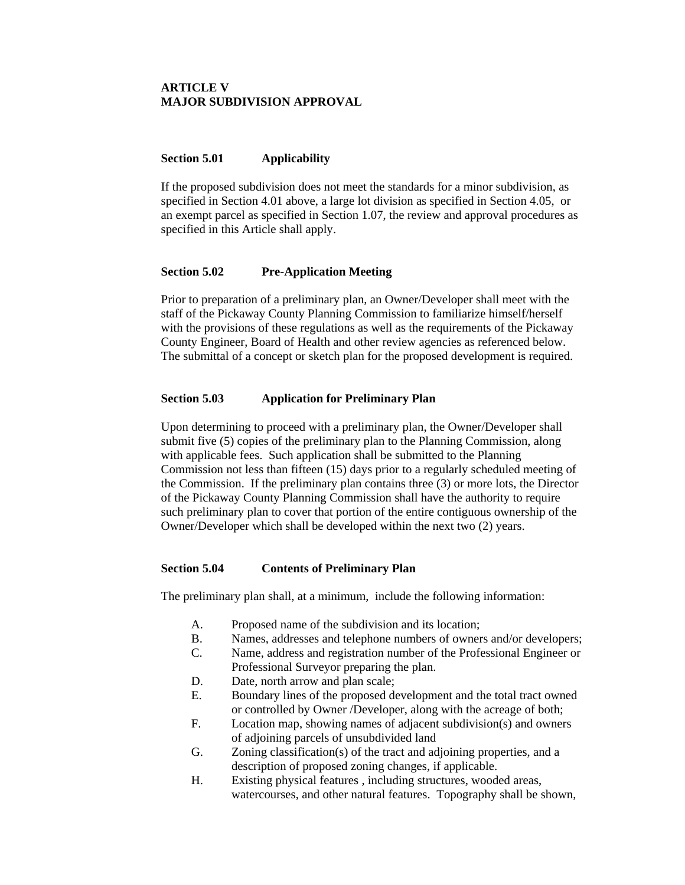#### **ARTICLE V MAJOR SUBDIVISION APPROVAL**

#### **Section 5.01 Applicability**

If the proposed subdivision does not meet the standards for a minor subdivision, as specified in Section 4.01 above, a large lot division as specified in Section 4.05, or an exempt parcel as specified in Section 1.07, the review and approval procedures as specified in this Article shall apply.

#### **Section 5.02 Pre-Application Meeting**

Prior to preparation of a preliminary plan, an Owner/Developer shall meet with the staff of the Pickaway County Planning Commission to familiarize himself/herself with the provisions of these regulations as well as the requirements of the Pickaway County Engineer, Board of Health and other review agencies as referenced below. The submittal of a concept or sketch plan for the proposed development is required.

#### **Section 5.03 Application for Preliminary Plan**

Upon determining to proceed with a preliminary plan, the Owner/Developer shall submit five (5) copies of the preliminary plan to the Planning Commission, along with applicable fees. Such application shall be submitted to the Planning Commission not less than fifteen (15) days prior to a regularly scheduled meeting of the Commission. If the preliminary plan contains three (3) or more lots, the Director of the Pickaway County Planning Commission shall have the authority to require such preliminary plan to cover that portion of the entire contiguous ownership of the Owner/Developer which shall be developed within the next two (2) years.

#### **Section 5.04 Contents of Preliminary Plan**

The preliminary plan shall, at a minimum, include the following information:

- A. Proposed name of the subdivision and its location;
- B. Names, addresses and telephone numbers of owners and/or developers;
- C. Name, address and registration number of the Professional Engineer or
- Professional Surveyor preparing the plan.
- D. Date, north arrow and plan scale;
- E. Boundary lines of the proposed development and the total tract owned or controlled by Owner /Developer, along with the acreage of both;
- F. Location map, showing names of adjacent subdivision(s) and owners of adjoining parcels of unsubdivided land
- G. Zoning classification(s) of the tract and adjoining properties, and a description of proposed zoning changes, if applicable.
- H. Existing physical features , including structures, wooded areas, watercourses, and other natural features. Topography shall be shown,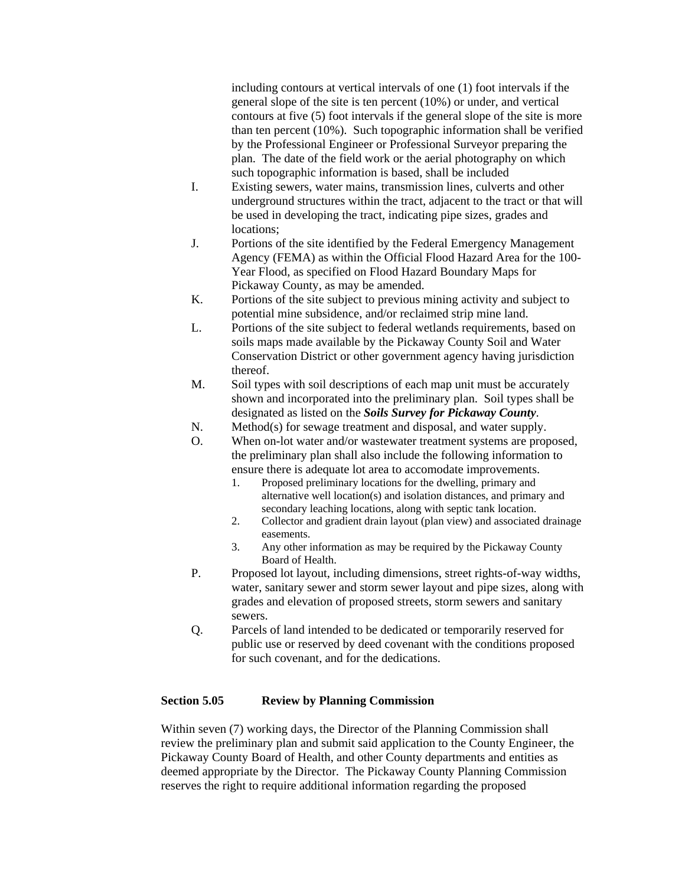including contours at vertical intervals of one (1) foot intervals if the general slope of the site is ten percent (10%) or under, and vertical contours at five (5) foot intervals if the general slope of the site is more than ten percent (10%). Such topographic information shall be verified by the Professional Engineer or Professional Surveyor preparing the plan. The date of the field work or the aerial photography on which such topographic information is based, shall be included

- I. Existing sewers, water mains, transmission lines, culverts and other underground structures within the tract, adjacent to the tract or that will be used in developing the tract, indicating pipe sizes, grades and locations;
- J. Portions of the site identified by the Federal Emergency Management Agency (FEMA) as within the Official Flood Hazard Area for the 100- Year Flood, as specified on Flood Hazard Boundary Maps for Pickaway County, as may be amended.
- K. Portions of the site subject to previous mining activity and subject to potential mine subsidence, and/or reclaimed strip mine land.
- L. Portions of the site subject to federal wetlands requirements, based on soils maps made available by the Pickaway County Soil and Water Conservation District or other government agency having jurisdiction thereof.
- M. Soil types with soil descriptions of each map unit must be accurately shown and incorporated into the preliminary plan. Soil types shall be designated as listed on the *Soils Survey for Pickaway County*.
- N. Method(s) for sewage treatment and disposal, and water supply.
- O. When on-lot water and/or wastewater treatment systems are proposed, the preliminary plan shall also include the following information to ensure there is adequate lot area to accomodate improvements.
	- 1. Proposed preliminary locations for the dwelling, primary and alternative well location(s) and isolation distances, and primary and secondary leaching locations, along with septic tank location.
	- 2. Collector and gradient drain layout (plan view) and associated drainage easements.
	- 3. Any other information as may be required by the Pickaway County Board of Health.
- P. Proposed lot layout, including dimensions, street rights-of-way widths, water, sanitary sewer and storm sewer layout and pipe sizes, along with grades and elevation of proposed streets, storm sewers and sanitary sewers.
- Q. Parcels of land intended to be dedicated or temporarily reserved for public use or reserved by deed covenant with the conditions proposed for such covenant, and for the dedications.

#### **Section 5.05 Review by Planning Commission**

Within seven (7) working days, the Director of the Planning Commission shall review the preliminary plan and submit said application to the County Engineer, the Pickaway County Board of Health, and other County departments and entities as deemed appropriate by the Director. The Pickaway County Planning Commission reserves the right to require additional information regarding the proposed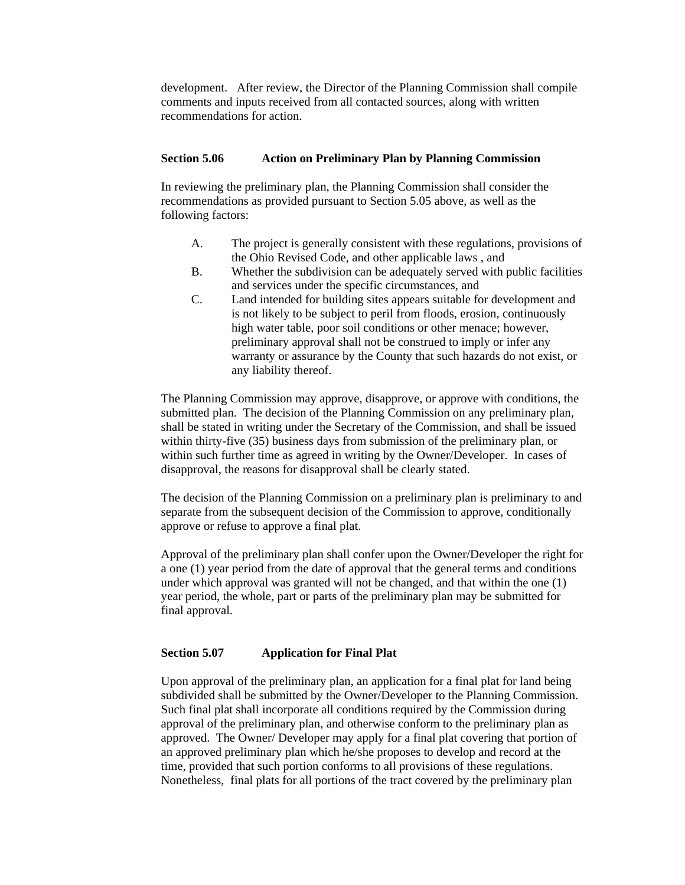development. After review, the Director of the Planning Commission shall compile comments and inputs received from all contacted sources, along with written recommendations for action.

#### **Section 5.06 Action on Preliminary Plan by Planning Commission**

In reviewing the preliminary plan, the Planning Commission shall consider the recommendations as provided pursuant to Section 5.05 above, as well as the following factors:

- A. The project is generally consistent with these regulations, provisions of the Ohio Revised Code, and other applicable laws , and
- B. Whether the subdivision can be adequately served with public facilities and services under the specific circumstances, and
- C. Land intended for building sites appears suitable for development and is not likely to be subject to peril from floods, erosion, continuously high water table, poor soil conditions or other menace; however, preliminary approval shall not be construed to imply or infer any warranty or assurance by the County that such hazards do not exist, or any liability thereof.

The Planning Commission may approve, disapprove, or approve with conditions, the submitted plan. The decision of the Planning Commission on any preliminary plan, shall be stated in writing under the Secretary of the Commission, and shall be issued within thirty-five (35) business days from submission of the preliminary plan, or within such further time as agreed in writing by the Owner/Developer. In cases of disapproval, the reasons for disapproval shall be clearly stated.

The decision of the Planning Commission on a preliminary plan is preliminary to and separate from the subsequent decision of the Commission to approve, conditionally approve or refuse to approve a final plat.

Approval of the preliminary plan shall confer upon the Owner/Developer the right for a one (1) year period from the date of approval that the general terms and conditions under which approval was granted will not be changed, and that within the one (1) year period, the whole, part or parts of the preliminary plan may be submitted for final approval.

#### **Section 5.07 Application for Final Plat**

Upon approval of the preliminary plan, an application for a final plat for land being subdivided shall be submitted by the Owner/Developer to the Planning Commission. Such final plat shall incorporate all conditions required by the Commission during approval of the preliminary plan, and otherwise conform to the preliminary plan as approved. The Owner/ Developer may apply for a final plat covering that portion of an approved preliminary plan which he/she proposes to develop and record at the time, provided that such portion conforms to all provisions of these regulations. Nonetheless, final plats for all portions of the tract covered by the preliminary plan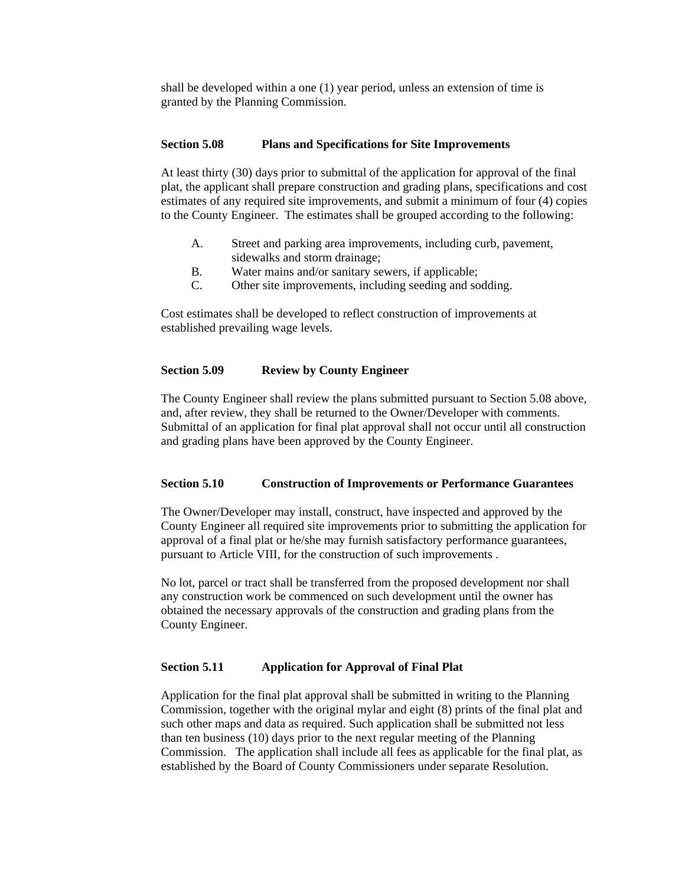shall be developed within a one (1) year period, unless an extension of time is granted by the Planning Commission.

#### **Section 5.08 Plans and Specifications for Site Improvements**

At least thirty (30) days prior to submittal of the application for approval of the final plat, the applicant shall prepare construction and grading plans, specifications and cost estimates of any required site improvements, and submit a minimum of four (4) copies to the County Engineer. The estimates shall be grouped according to the following:

- A. Street and parking area improvements, including curb, pavement, sidewalks and storm drainage;
- B. Water mains and/or sanitary sewers, if applicable;
- C. Other site improvements, including seeding and sodding.

Cost estimates shall be developed to reflect construction of improvements at established prevailing wage levels.

#### **Section 5.09 Review by County Engineer**

The County Engineer shall review the plans submitted pursuant to Section 5.08 above, and, after review, they shall be returned to the Owner/Developer with comments. Submittal of an application for final plat approval shall not occur until all construction and grading plans have been approved by the County Engineer.

#### **Section 5.10 Construction of Improvements or Performance Guarantees**

The Owner/Developer may install, construct, have inspected and approved by the County Engineer all required site improvements prior to submitting the application for approval of a final plat or he/she may furnish satisfactory performance guarantees, pursuant to Article VIII, for the construction of such improvements .

No lot, parcel or tract shall be transferred from the proposed development nor shall any construction work be commenced on such development until the owner has obtained the necessary approvals of the construction and grading plans from the County Engineer.

#### **Section 5.11 Application for Approval of Final Plat**

Application for the final plat approval shall be submitted in writing to the Planning Commission, together with the original mylar and eight (8) prints of the final plat and such other maps and data as required. Such application shall be submitted not less than ten business (10) days prior to the next regular meeting of the Planning Commission. The application shall include all fees as applicable for the final plat, as established by the Board of County Commissioners under separate Resolution.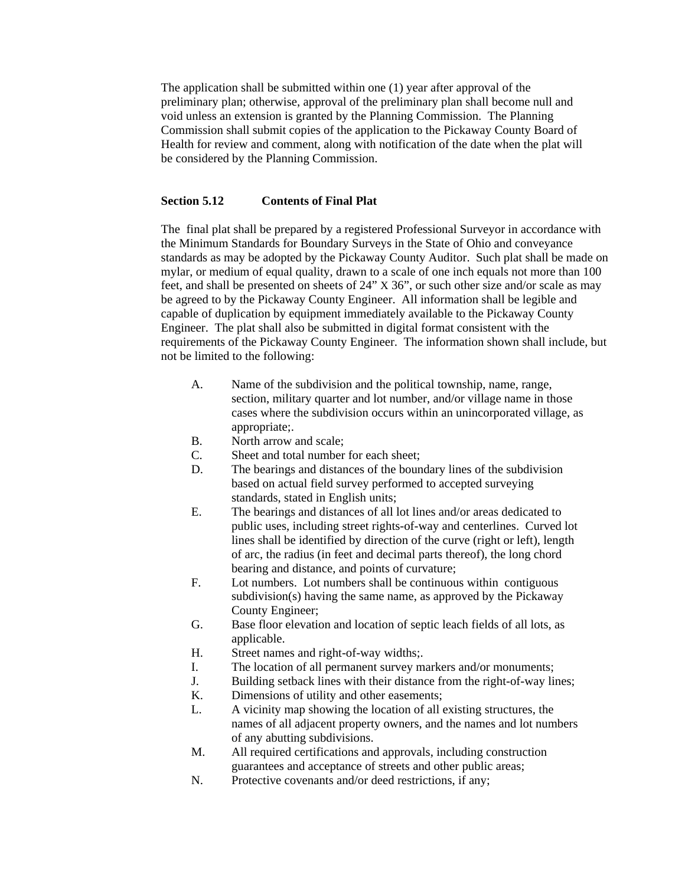The application shall be submitted within one (1) year after approval of the preliminary plan; otherwise, approval of the preliminary plan shall become null and void unless an extension is granted by the Planning Commission. The Planning Commission shall submit copies of the application to the Pickaway County Board of Health for review and comment, along with notification of the date when the plat will be considered by the Planning Commission.

#### **Section 5.12 Contents of Final Plat**

The final plat shall be prepared by a registered Professional Surveyor in accordance with the Minimum Standards for Boundary Surveys in the State of Ohio and conveyance standards as may be adopted by the Pickaway County Auditor. Such plat shall be made on mylar, or medium of equal quality, drawn to a scale of one inch equals not more than 100 feet, and shall be presented on sheets of 24" X 36", or such other size and/or scale as may be agreed to by the Pickaway County Engineer. All information shall be legible and capable of duplication by equipment immediately available to the Pickaway County Engineer. The plat shall also be submitted in digital format consistent with the requirements of the Pickaway County Engineer. The information shown shall include, but not be limited to the following:

- A. Name of the subdivision and the political township, name, range, section, military quarter and lot number, and/or village name in those cases where the subdivision occurs within an unincorporated village, as appropriate;.
- B. North arrow and scale;
- C. Sheet and total number for each sheet;
- D. The bearings and distances of the boundary lines of the subdivision based on actual field survey performed to accepted surveying standards, stated in English units;
- E. The bearings and distances of all lot lines and/or areas dedicated to public uses, including street rights-of-way and centerlines. Curved lot lines shall be identified by direction of the curve (right or left), length of arc, the radius (in feet and decimal parts thereof), the long chord bearing and distance, and points of curvature;
- F. Lot numbers. Lot numbers shall be continuous within contiguous subdivision(s) having the same name, as approved by the Pickaway County Engineer;
- G. Base floor elevation and location of septic leach fields of all lots, as applicable.
- H. Street names and right-of-way widths;.
- I. The location of all permanent survey markers and/or monuments;
- J. Building setback lines with their distance from the right-of-way lines;
- K. Dimensions of utility and other easements;
- L. A vicinity map showing the location of all existing structures, the names of all adjacent property owners, and the names and lot numbers of any abutting subdivisions.
- M. All required certifications and approvals, including construction guarantees and acceptance of streets and other public areas;
- N. Protective covenants and/or deed restrictions, if any;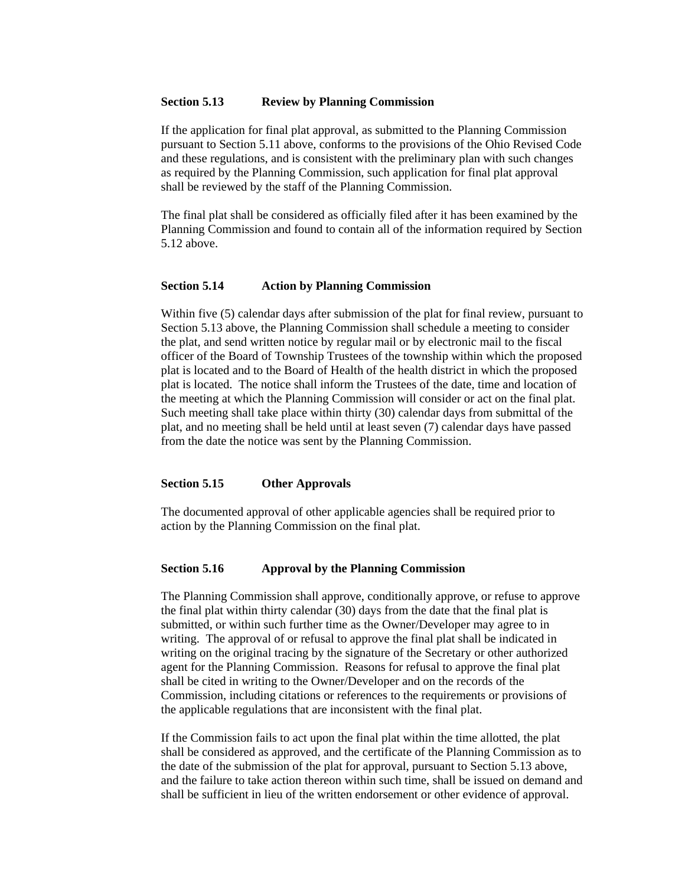#### **Section 5.13 Review by Planning Commission**

If the application for final plat approval, as submitted to the Planning Commission pursuant to Section 5.11 above, conforms to the provisions of the Ohio Revised Code and these regulations, and is consistent with the preliminary plan with such changes as required by the Planning Commission, such application for final plat approval shall be reviewed by the staff of the Planning Commission.

The final plat shall be considered as officially filed after it has been examined by the Planning Commission and found to contain all of the information required by Section 5.12 above.

#### **Section 5.14 Action by Planning Commission**

Within five (5) calendar days after submission of the plat for final review, pursuant to Section 5.13 above, the Planning Commission shall schedule a meeting to consider the plat, and send written notice by regular mail or by electronic mail to the fiscal officer of the Board of Township Trustees of the township within which the proposed plat is located and to the Board of Health of the health district in which the proposed plat is located. The notice shall inform the Trustees of the date, time and location of the meeting at which the Planning Commission will consider or act on the final plat. Such meeting shall take place within thirty (30) calendar days from submittal of the plat, and no meeting shall be held until at least seven (7) calendar days have passed from the date the notice was sent by the Planning Commission.

#### **Section 5.15 Other Approvals**

The documented approval of other applicable agencies shall be required prior to action by the Planning Commission on the final plat.

#### **Section 5.16 Approval by the Planning Commission**

The Planning Commission shall approve, conditionally approve, or refuse to approve the final plat within thirty calendar (30) days from the date that the final plat is submitted, or within such further time as the Owner/Developer may agree to in writing. The approval of or refusal to approve the final plat shall be indicated in writing on the original tracing by the signature of the Secretary or other authorized agent for the Planning Commission. Reasons for refusal to approve the final plat shall be cited in writing to the Owner/Developer and on the records of the Commission, including citations or references to the requirements or provisions of the applicable regulations that are inconsistent with the final plat.

If the Commission fails to act upon the final plat within the time allotted, the plat shall be considered as approved, and the certificate of the Planning Commission as to the date of the submission of the plat for approval, pursuant to Section 5.13 above, and the failure to take action thereon within such time, shall be issued on demand and shall be sufficient in lieu of the written endorsement or other evidence of approval.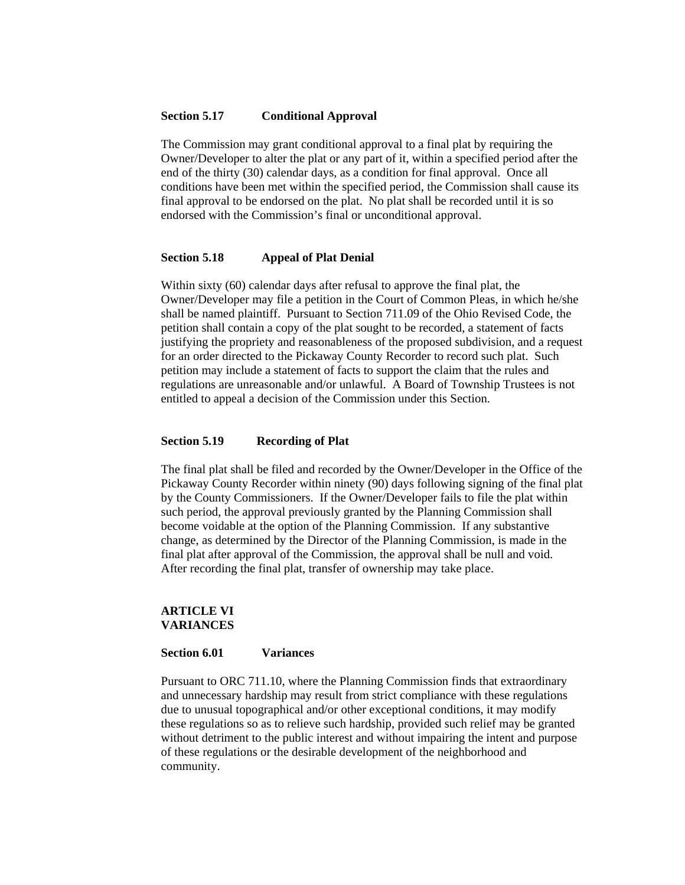#### **Section 5.17 Conditional Approval**

The Commission may grant conditional approval to a final plat by requiring the Owner/Developer to alter the plat or any part of it, within a specified period after the end of the thirty (30) calendar days, as a condition for final approval. Once all conditions have been met within the specified period, the Commission shall cause its final approval to be endorsed on the plat. No plat shall be recorded until it is so endorsed with the Commission's final or unconditional approval.

#### **Section 5.18 Appeal of Plat Denial**

Within sixty (60) calendar days after refusal to approve the final plat, the Owner/Developer may file a petition in the Court of Common Pleas, in which he/she shall be named plaintiff. Pursuant to Section 711.09 of the Ohio Revised Code, the petition shall contain a copy of the plat sought to be recorded, a statement of facts justifying the propriety and reasonableness of the proposed subdivision, and a request for an order directed to the Pickaway County Recorder to record such plat. Such petition may include a statement of facts to support the claim that the rules and regulations are unreasonable and/or unlawful. A Board of Township Trustees is not entitled to appeal a decision of the Commission under this Section.

#### **Section 5.19 Recording of Plat**

The final plat shall be filed and recorded by the Owner/Developer in the Office of the Pickaway County Recorder within ninety (90) days following signing of the final plat by the County Commissioners. If the Owner/Developer fails to file the plat within such period, the approval previously granted by the Planning Commission shall become voidable at the option of the Planning Commission. If any substantive change, as determined by the Director of the Planning Commission, is made in the final plat after approval of the Commission, the approval shall be null and void. After recording the final plat, transfer of ownership may take place.

#### **ARTICLE VI VARIANCES**

#### **Section 6.01 Variances**

Pursuant to ORC 711.10, where the Planning Commission finds that extraordinary and unnecessary hardship may result from strict compliance with these regulations due to unusual topographical and/or other exceptional conditions, it may modify these regulations so as to relieve such hardship, provided such relief may be granted without detriment to the public interest and without impairing the intent and purpose of these regulations or the desirable development of the neighborhood and community.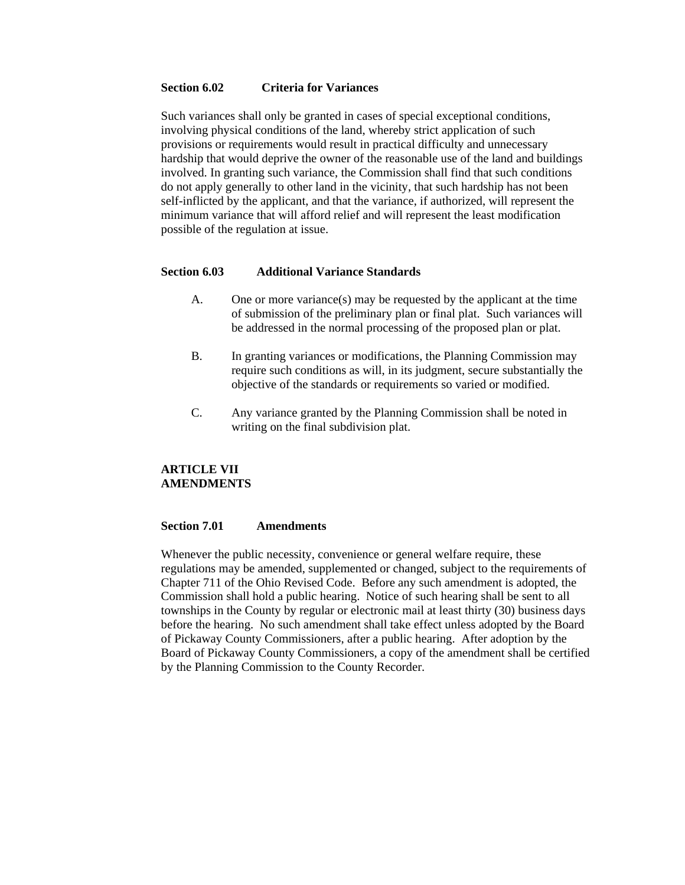#### **Section 6.02 Criteria for Variances**

Such variances shall only be granted in cases of special exceptional conditions, involving physical conditions of the land, whereby strict application of such provisions or requirements would result in practical difficulty and unnecessary hardship that would deprive the owner of the reasonable use of the land and buildings involved. In granting such variance, the Commission shall find that such conditions do not apply generally to other land in the vicinity, that such hardship has not been self-inflicted by the applicant, and that the variance, if authorized, will represent the minimum variance that will afford relief and will represent the least modification possible of the regulation at issue.

#### **Section 6.03 Additional Variance Standards**

- A. One or more variance(s) may be requested by the applicant at the time of submission of the preliminary plan or final plat. Such variances will be addressed in the normal processing of the proposed plan or plat.
- B. In granting variances or modifications, the Planning Commission may require such conditions as will, in its judgment, secure substantially the objective of the standards or requirements so varied or modified.
- C. Any variance granted by the Planning Commission shall be noted in writing on the final subdivision plat.

#### **ARTICLE VII AMENDMENTS**

#### **Section 7.01 Amendments**

Whenever the public necessity, convenience or general welfare require, these regulations may be amended, supplemented or changed, subject to the requirements of Chapter 711 of the Ohio Revised Code. Before any such amendment is adopted, the Commission shall hold a public hearing. Notice of such hearing shall be sent to all townships in the County by regular or electronic mail at least thirty (30) business days before the hearing. No such amendment shall take effect unless adopted by the Board of Pickaway County Commissioners, after a public hearing. After adoption by the Board of Pickaway County Commissioners, a copy of the amendment shall be certified by the Planning Commission to the County Recorder.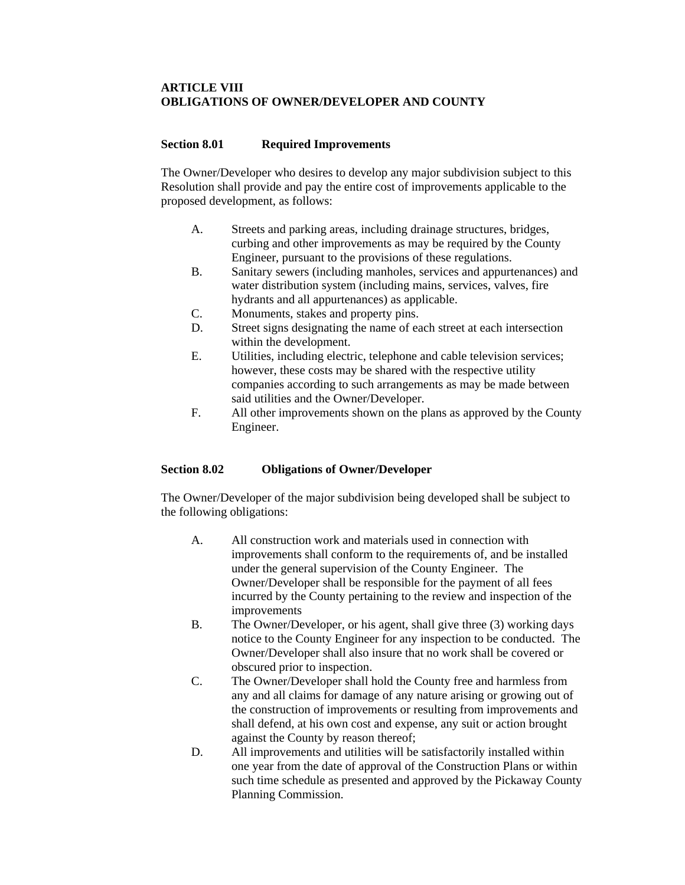#### **ARTICLE VIII OBLIGATIONS OF OWNER/DEVELOPER AND COUNTY**

#### **Section 8.01 Required Improvements**

The Owner/Developer who desires to develop any major subdivision subject to this Resolution shall provide and pay the entire cost of improvements applicable to the proposed development, as follows:

- A. Streets and parking areas, including drainage structures, bridges, curbing and other improvements as may be required by the County Engineer, pursuant to the provisions of these regulations.
- B. Sanitary sewers (including manholes, services and appurtenances) and water distribution system (including mains, services, valves, fire hydrants and all appurtenances) as applicable.
- C. Monuments, stakes and property pins.
- D. Street signs designating the name of each street at each intersection within the development.
- E. Utilities, including electric, telephone and cable television services; however, these costs may be shared with the respective utility companies according to such arrangements as may be made between said utilities and the Owner/Developer.
- F. All other improvements shown on the plans as approved by the County Engineer.

#### **Section 8.02 Obligations of Owner/Developer**

The Owner/Developer of the major subdivision being developed shall be subject to the following obligations:

- A. All construction work and materials used in connection with improvements shall conform to the requirements of, and be installed under the general supervision of the County Engineer. The Owner/Developer shall be responsible for the payment of all fees incurred by the County pertaining to the review and inspection of the improvements
- B. The Owner/Developer, or his agent, shall give three (3) working days notice to the County Engineer for any inspection to be conducted. The Owner/Developer shall also insure that no work shall be covered or obscured prior to inspection.
- C. The Owner/Developer shall hold the County free and harmless from any and all claims for damage of any nature arising or growing out of the construction of improvements or resulting from improvements and shall defend, at his own cost and expense, any suit or action brought against the County by reason thereof;
- D. All improvements and utilities will be satisfactorily installed within one year from the date of approval of the Construction Plans or within such time schedule as presented and approved by the Pickaway County Planning Commission.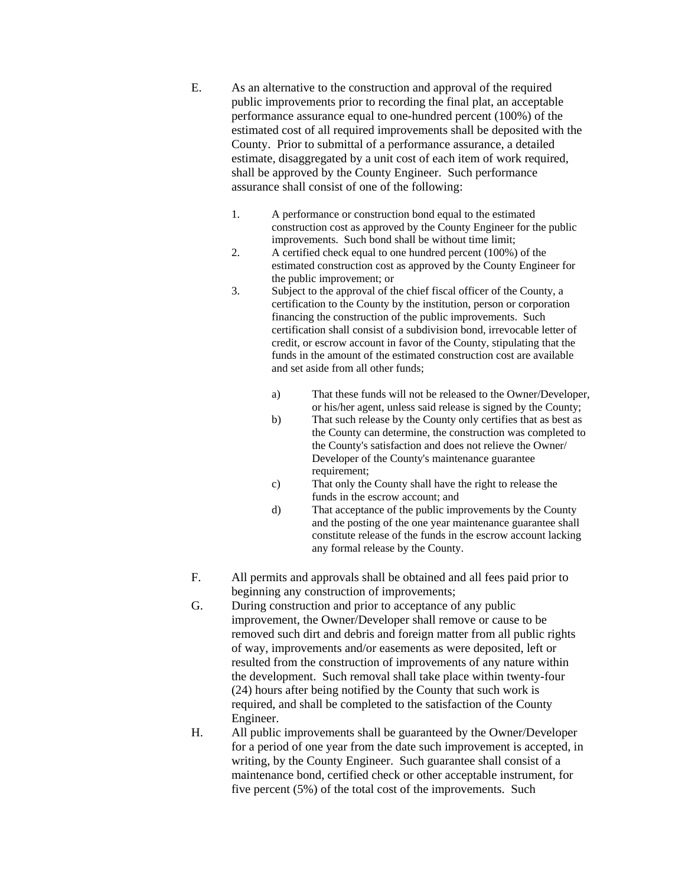- E. As an alternative to the construction and approval of the required public improvements prior to recording the final plat, an acceptable performance assurance equal to one-hundred percent (100%) of the estimated cost of all required improvements shall be deposited with the County. Prior to submittal of a performance assurance, a detailed estimate, disaggregated by a unit cost of each item of work required, shall be approved by the County Engineer. Such performance assurance shall consist of one of the following:
	- 1. A performance or construction bond equal to the estimated construction cost as approved by the County Engineer for the public improvements. Such bond shall be without time limit;
	- 2. A certified check equal to one hundred percent (100%) of the estimated construction cost as approved by the County Engineer for the public improvement; or
	- 3. Subject to the approval of the chief fiscal officer of the County, a certification to the County by the institution, person or corporation financing the construction of the public improvements. Such certification shall consist of a subdivision bond, irrevocable letter of credit, or escrow account in favor of the County, stipulating that the funds in the amount of the estimated construction cost are available and set aside from all other funds;
		- a) That these funds will not be released to the Owner/Developer, or his/her agent, unless said release is signed by the County;
		- b) That such release by the County only certifies that as best as the County can determine, the construction was completed to the County's satisfaction and does not relieve the Owner/ Developer of the County's maintenance guarantee requirement;
		- c) That only the County shall have the right to release the funds in the escrow account; and
		- d) That acceptance of the public improvements by the County and the posting of the one year maintenance guarantee shall constitute release of the funds in the escrow account lacking any formal release by the County.
- F. All permits and approvals shall be obtained and all fees paid prior to beginning any construction of improvements;
- G. During construction and prior to acceptance of any public improvement, the Owner/Developer shall remove or cause to be removed such dirt and debris and foreign matter from all public rights of way, improvements and/or easements as were deposited, left or resulted from the construction of improvements of any nature within the development. Such removal shall take place within twenty-four (24) hours after being notified by the County that such work is required, and shall be completed to the satisfaction of the County Engineer.
- H. All public improvements shall be guaranteed by the Owner/Developer for a period of one year from the date such improvement is accepted, in writing, by the County Engineer. Such guarantee shall consist of a maintenance bond, certified check or other acceptable instrument, for five percent (5%) of the total cost of the improvements. Such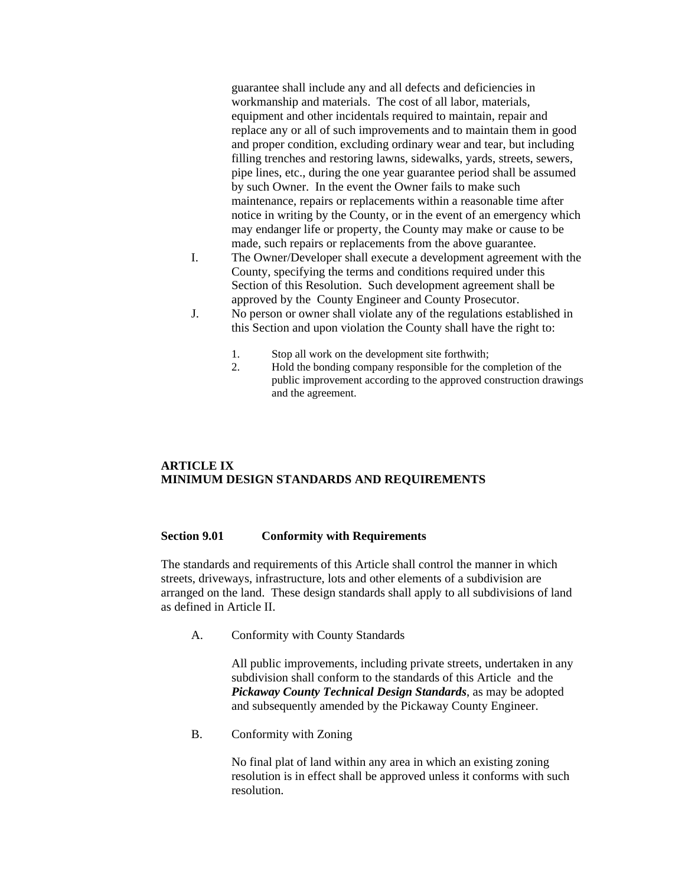guarantee shall include any and all defects and deficiencies in workmanship and materials. The cost of all labor, materials, equipment and other incidentals required to maintain, repair and replace any or all of such improvements and to maintain them in good and proper condition, excluding ordinary wear and tear, but including filling trenches and restoring lawns, sidewalks, yards, streets, sewers, pipe lines, etc., during the one year guarantee period shall be assumed by such Owner. In the event the Owner fails to make such maintenance, repairs or replacements within a reasonable time after notice in writing by the County, or in the event of an emergency which may endanger life or property, the County may make or cause to be made, such repairs or replacements from the above guarantee.

- I. The Owner/Developer shall execute a development agreement with the County, specifying the terms and conditions required under this Section of this Resolution. Such development agreement shall be approved by the County Engineer and County Prosecutor.
- J. No person or owner shall violate any of the regulations established in this Section and upon violation the County shall have the right to:
	- 1. Stop all work on the development site forthwith;
	- 2. Hold the bonding company responsible for the completion of the public improvement according to the approved construction drawings and the agreement.

#### **ARTICLE IX MINIMUM DESIGN STANDARDS AND REQUIREMENTS**

#### **Section 9.01 Conformity with Requirements**

The standards and requirements of this Article shall control the manner in which streets, driveways, infrastructure, lots and other elements of a subdivision are arranged on the land. These design standards shall apply to all subdivisions of land as defined in Article II.

A. Conformity with County Standards

All public improvements, including private streets, undertaken in any subdivision shall conform to the standards of this Article and the *Pickaway County Technical Design Standards*, as may be adopted and subsequently amended by the Pickaway County Engineer.

B. Conformity with Zoning

No final plat of land within any area in which an existing zoning resolution is in effect shall be approved unless it conforms with such resolution.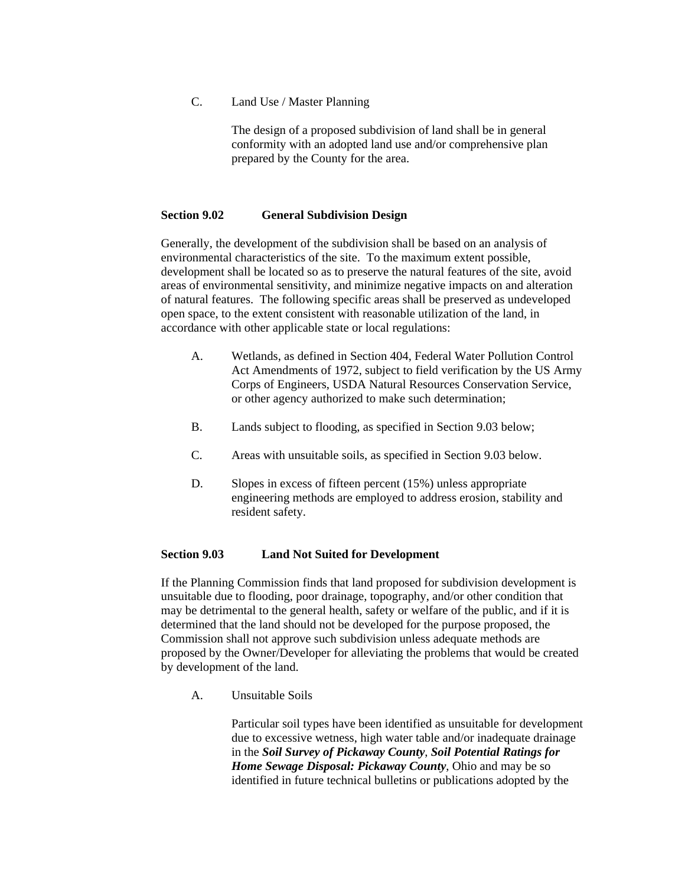#### C. Land Use / Master Planning

The design of a proposed subdivision of land shall be in general conformity with an adopted land use and/or comprehensive plan prepared by the County for the area.

#### **Section 9.02 General Subdivision Design**

Generally, the development of the subdivision shall be based on an analysis of environmental characteristics of the site. To the maximum extent possible, development shall be located so as to preserve the natural features of the site, avoid areas of environmental sensitivity, and minimize negative impacts on and alteration of natural features. The following specific areas shall be preserved as undeveloped open space, to the extent consistent with reasonable utilization of the land, in accordance with other applicable state or local regulations:

- A. Wetlands, as defined in Section 404, Federal Water Pollution Control Act Amendments of 1972, subject to field verification by the US Army Corps of Engineers, USDA Natural Resources Conservation Service, or other agency authorized to make such determination;
- B. Lands subject to flooding, as specified in Section 9.03 below;
- C. Areas with unsuitable soils, as specified in Section 9.03 below.
- D. Slopes in excess of fifteen percent (15%) unless appropriate engineering methods are employed to address erosion, stability and resident safety.

#### **Section 9.03 Land Not Suited for Development**

If the Planning Commission finds that land proposed for subdivision development is unsuitable due to flooding, poor drainage, topography, and/or other condition that may be detrimental to the general health, safety or welfare of the public, and if it is determined that the land should not be developed for the purpose proposed, the Commission shall not approve such subdivision unless adequate methods are proposed by the Owner/Developer for alleviating the problems that would be created by development of the land.

A. Unsuitable Soils

Particular soil types have been identified as unsuitable for development due to excessive wetness, high water table and/or inadequate drainage in the *Soil Survey of Pickaway County*, *Soil Potential Ratings for Home Sewage Disposal: Pickaway County*, Ohio and may be so identified in future technical bulletins or publications adopted by the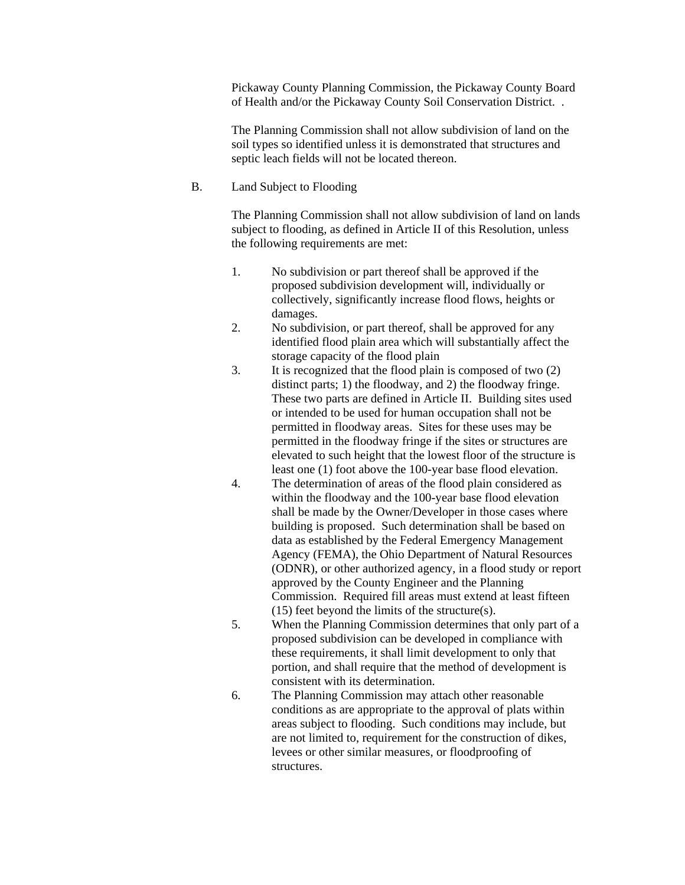Pickaway County Planning Commission, the Pickaway County Board of Health and/or the Pickaway County Soil Conservation District. .

The Planning Commission shall not allow subdivision of land on the soil types so identified unless it is demonstrated that structures and septic leach fields will not be located thereon.

#### B. Land Subject to Flooding

The Planning Commission shall not allow subdivision of land on lands subject to flooding, as defined in Article II of this Resolution, unless the following requirements are met:

- 1. No subdivision or part thereof shall be approved if the proposed subdivision development will, individually or collectively, significantly increase flood flows, heights or damages.
- 2. No subdivision, or part thereof, shall be approved for any identified flood plain area which will substantially affect the storage capacity of the flood plain
- 3. It is recognized that the flood plain is composed of two (2) distinct parts; 1) the floodway, and 2) the floodway fringe. These two parts are defined in Article II. Building sites used or intended to be used for human occupation shall not be permitted in floodway areas. Sites for these uses may be permitted in the floodway fringe if the sites or structures are elevated to such height that the lowest floor of the structure is least one (1) foot above the 100-year base flood elevation.
- 4. The determination of areas of the flood plain considered as within the floodway and the 100-year base flood elevation shall be made by the Owner/Developer in those cases where building is proposed. Such determination shall be based on data as established by the Federal Emergency Management Agency (FEMA), the Ohio Department of Natural Resources (ODNR), or other authorized agency, in a flood study or report approved by the County Engineer and the Planning Commission. Required fill areas must extend at least fifteen  $(15)$  feet beyond the limits of the structure(s).
- 5. When the Planning Commission determines that only part of a proposed subdivision can be developed in compliance with these requirements, it shall limit development to only that portion, and shall require that the method of development is consistent with its determination.
- 6. The Planning Commission may attach other reasonable conditions as are appropriate to the approval of plats within areas subject to flooding. Such conditions may include, but are not limited to, requirement for the construction of dikes, levees or other similar measures, or floodproofing of structures.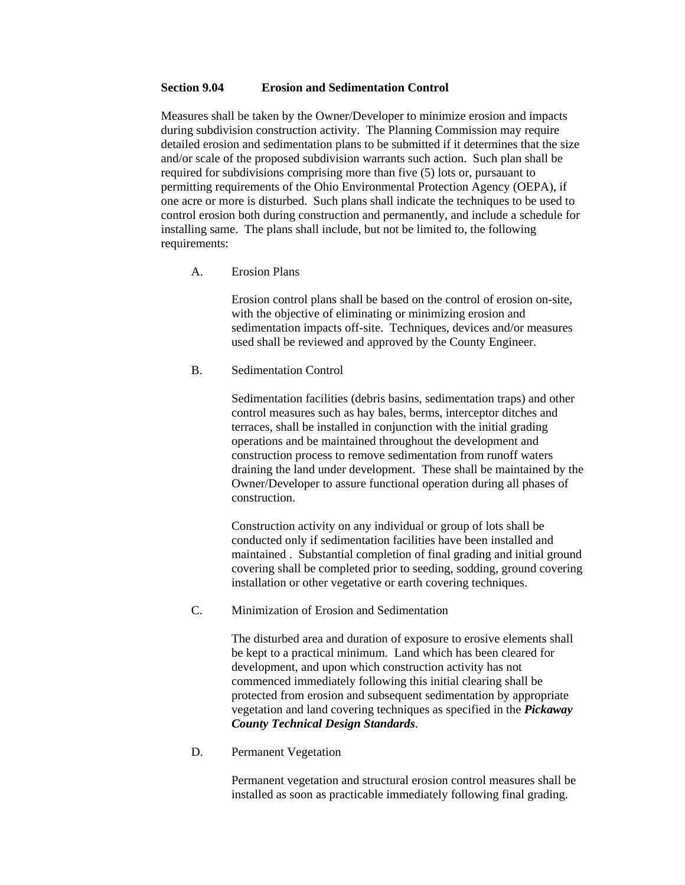#### **Section 9.04 Erosion and Sedimentation Control**

Measures shall be taken by the Owner/Developer to minimize erosion and impacts during subdivision construction activity. The Planning Commission may require detailed erosion and sedimentation plans to be submitted if it determines that the size and/or scale of the proposed subdivision warrants such action. Such plan shall be required for subdivisions comprising more than five (5) lots or, pursauant to permitting requirements of the Ohio Environmental Protection Agency (OEPA), if one acre or more is disturbed. Such plans shall indicate the techniques to be used to control erosion both during construction and permanently, and include a schedule for installing same. The plans shall include, but not be limited to, the following requirements:

#### A. Erosion Plans

Erosion control plans shall be based on the control of erosion on-site, with the objective of eliminating or minimizing erosion and sedimentation impacts off-site. Techniques, devices and/or measures used shall be reviewed and approved by the County Engineer.

#### B. Sedimentation Control

Sedimentation facilities (debris basins, sedimentation traps) and other control measures such as hay bales, berms, interceptor ditches and terraces, shall be installed in conjunction with the initial grading operations and be maintained throughout the development and construction process to remove sedimentation from runoff waters draining the land under development. These shall be maintained by the Owner/Developer to assure functional operation during all phases of construction.

Construction activity on any individual or group of lots shall be conducted only if sedimentation facilities have been installed and maintained . Substantial completion of final grading and initial ground covering shall be completed prior to seeding, sodding, ground covering installation or other vegetative or earth covering techniques.

#### C. Minimization of Erosion and Sedimentation

The disturbed area and duration of exposure to erosive elements shall be kept to a practical minimum. Land which has been cleared for development, and upon which construction activity has not commenced immediately following this initial clearing shall be protected from erosion and subsequent sedimentation by appropriate vegetation and land covering techniques as specified in the *Pickaway County Technical Design Standards*.

#### D. Permanent Vegetation

Permanent vegetation and structural erosion control measures shall be installed as soon as practicable immediately following final grading.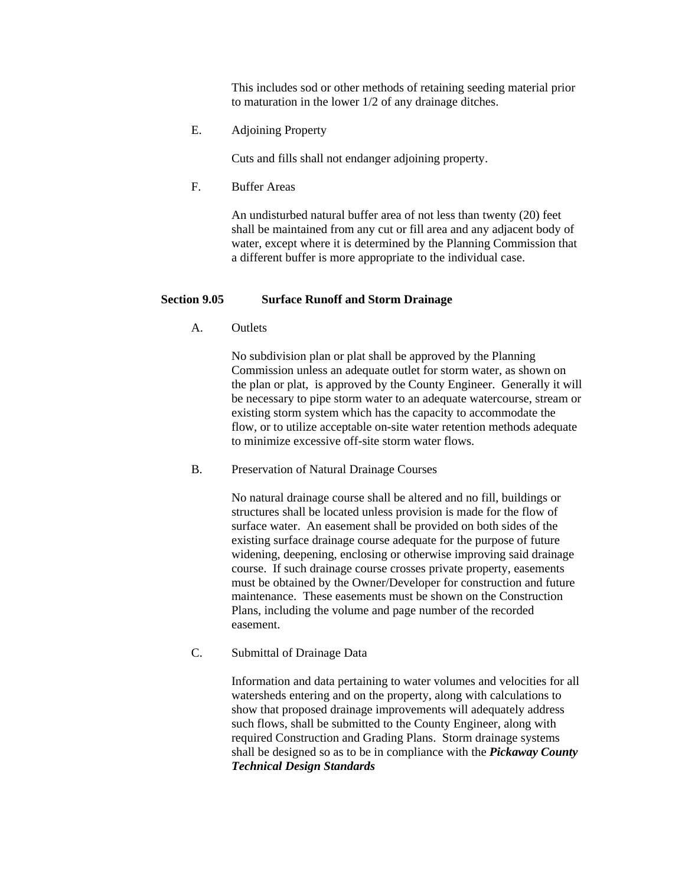This includes sod or other methods of retaining seeding material prior to maturation in the lower 1/2 of any drainage ditches.

E. Adjoining Property

Cuts and fills shall not endanger adjoining property.

F. Buffer Areas

An undisturbed natural buffer area of not less than twenty (20) feet shall be maintained from any cut or fill area and any adjacent body of water, except where it is determined by the Planning Commission that a different buffer is more appropriate to the individual case.

#### **Section 9.05 Surface Runoff and Storm Drainage**

A. Outlets

 No subdivision plan or plat shall be approved by the Planning Commission unless an adequate outlet for storm water, as shown on the plan or plat, is approved by the County Engineer. Generally it will be necessary to pipe storm water to an adequate watercourse, stream or existing storm system which has the capacity to accommodate the flow, or to utilize acceptable on-site water retention methods adequate to minimize excessive off-site storm water flows.

B. Preservation of Natural Drainage Courses

 No natural drainage course shall be altered and no fill, buildings or structures shall be located unless provision is made for the flow of surface water. An easement shall be provided on both sides of the existing surface drainage course adequate for the purpose of future widening, deepening, enclosing or otherwise improving said drainage course. If such drainage course crosses private property, easements must be obtained by the Owner/Developer for construction and future maintenance. These easements must be shown on the Construction Plans, including the volume and page number of the recorded easement.

C. Submittal of Drainage Data

 Information and data pertaining to water volumes and velocities for all watersheds entering and on the property, along with calculations to show that proposed drainage improvements will adequately address such flows, shall be submitted to the County Engineer, along with required Construction and Grading Plans. Storm drainage systems shall be designed so as to be in compliance with the *Pickaway County Technical Design Standards*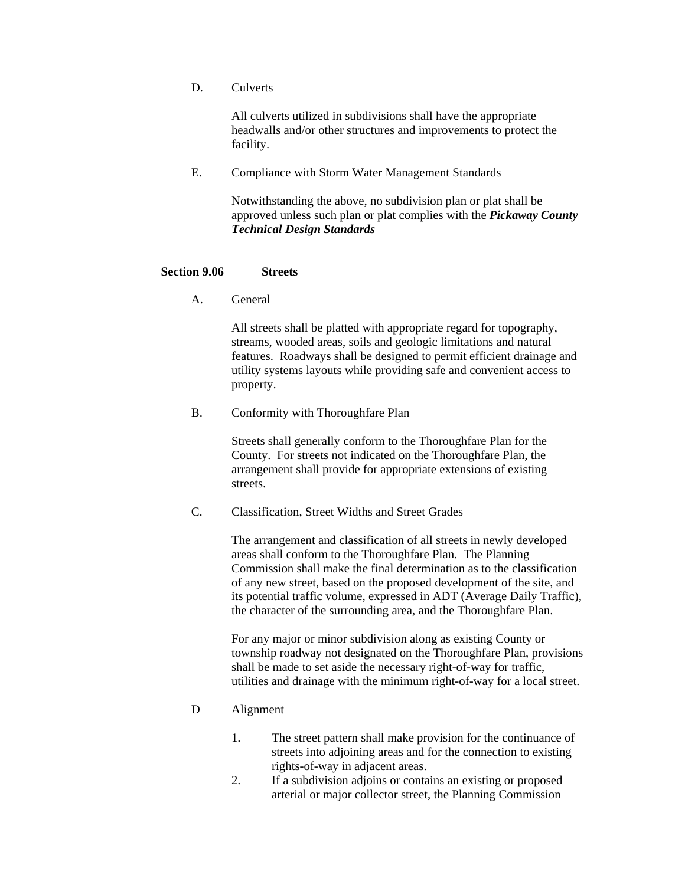D. Culverts

 All culverts utilized in subdivisions shall have the appropriate headwalls and/or other structures and improvements to protect the facility.

E. Compliance with Storm Water Management Standards

 Notwithstanding the above, no subdivision plan or plat shall be approved unless such plan or plat complies with the *Pickaway County Technical Design Standards*

#### **Section 9.06 Streets**

A. General

 All streets shall be platted with appropriate regard for topography, streams, wooded areas, soils and geologic limitations and natural features. Roadways shall be designed to permit efficient drainage and utility systems layouts while providing safe and convenient access to property.

B. Conformity with Thoroughfare Plan

 Streets shall generally conform to the Thoroughfare Plan for the County. For streets not indicated on the Thoroughfare Plan, the arrangement shall provide for appropriate extensions of existing streets.

C. Classification, Street Widths and Street Grades

 The arrangement and classification of all streets in newly developed areas shall conform to the Thoroughfare Plan. The Planning Commission shall make the final determination as to the classification of any new street, based on the proposed development of the site, and its potential traffic volume, expressed in ADT (Average Daily Traffic), the character of the surrounding area, and the Thoroughfare Plan.

For any major or minor subdivision along as existing County or township roadway not designated on the Thoroughfare Plan, provisions shall be made to set aside the necessary right-of-way for traffic, utilities and drainage with the minimum right-of-way for a local street.

- D Alignment
	- 1. The street pattern shall make provision for the continuance of streets into adjoining areas and for the connection to existing rights-of-way in adjacent areas.
	- 2. If a subdivision adjoins or contains an existing or proposed arterial or major collector street, the Planning Commission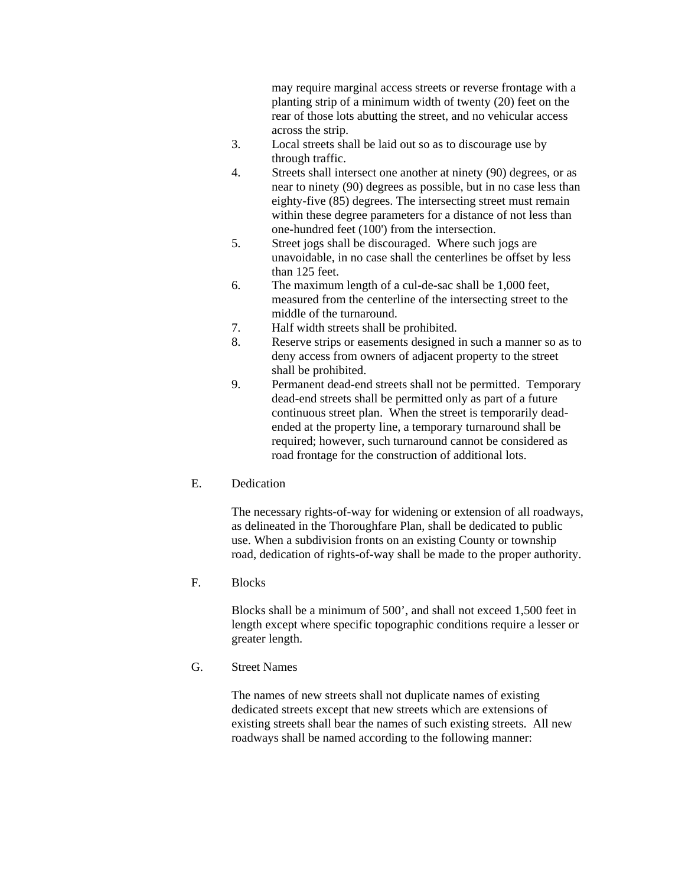may require marginal access streets or reverse frontage with a planting strip of a minimum width of twenty (20) feet on the rear of those lots abutting the street, and no vehicular access across the strip.

- 3. Local streets shall be laid out so as to discourage use by through traffic.
- 4. Streets shall intersect one another at ninety (90) degrees, or as near to ninety (90) degrees as possible, but in no case less than eighty-five (85) degrees. The intersecting street must remain within these degree parameters for a distance of not less than one-hundred feet (100') from the intersection.
- 5. Street jogs shall be discouraged. Where such jogs are unavoidable, in no case shall the centerlines be offset by less than 125 feet.
- 6. The maximum length of a cul-de-sac shall be 1,000 feet, measured from the centerline of the intersecting street to the middle of the turnaround.
- 7. Half width streets shall be prohibited.
- 8. Reserve strips or easements designed in such a manner so as to deny access from owners of adjacent property to the street shall be prohibited.
- 9. Permanent dead-end streets shall not be permitted. Temporary dead-end streets shall be permitted only as part of a future continuous street plan. When the street is temporarily deadended at the property line, a temporary turnaround shall be required; however, such turnaround cannot be considered as road frontage for the construction of additional lots.
- E. Dedication

 The necessary rights-of-way for widening or extension of all roadways, as delineated in the Thoroughfare Plan, shall be dedicated to public use. When a subdivision fronts on an existing County or township road, dedication of rights-of-way shall be made to the proper authority.

F. Blocks

 Blocks shall be a minimum of 500', and shall not exceed 1,500 feet in length except where specific topographic conditions require a lesser or greater length.

G. Street Names

 The names of new streets shall not duplicate names of existing dedicated streets except that new streets which are extensions of existing streets shall bear the names of such existing streets. All new roadways shall be named according to the following manner: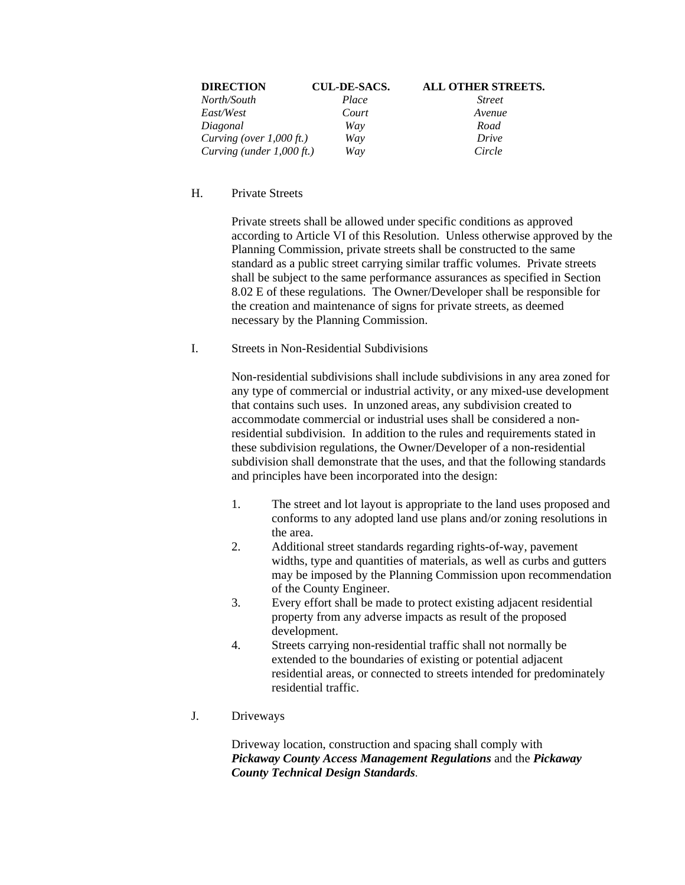| <b>DIRECTION</b>            | <b>CUL-DE-SACS.</b> | ALL OTHER STREETS. |
|-----------------------------|---------------------|--------------------|
| North/South                 | Place               | <b>Street</b>      |
| East/West                   | Court               | Avenue             |
| Diagonal                    | Way                 | Road               |
| Curving (over $1,000$ ft.)  | Way                 | Drive              |
| Curving (under $1,000$ ft.) | Way                 | Circle             |

#### H. Private Streets

 Private streets shall be allowed under specific conditions as approved according to Article VI of this Resolution. Unless otherwise approved by the Planning Commission, private streets shall be constructed to the same standard as a public street carrying similar traffic volumes. Private streets shall be subject to the same performance assurances as specified in Section 8.02 E of these regulations. The Owner/Developer shall be responsible for the creation and maintenance of signs for private streets, as deemed necessary by the Planning Commission.

#### I. Streets in Non-Residential Subdivisions

Non-residential subdivisions shall include subdivisions in any area zoned for any type of commercial or industrial activity, or any mixed-use development that contains such uses. In unzoned areas, any subdivision created to accommodate commercial or industrial uses shall be considered a nonresidential subdivision. In addition to the rules and requirements stated in these subdivision regulations, the Owner/Developer of a non-residential subdivision shall demonstrate that the uses, and that the following standards and principles have been incorporated into the design:

- 1. The street and lot layout is appropriate to the land uses proposed and conforms to any adopted land use plans and/or zoning resolutions in the area.
- 2. Additional street standards regarding rights-of-way, pavement widths, type and quantities of materials, as well as curbs and gutters may be imposed by the Planning Commission upon recommendation of the County Engineer.
- 3. Every effort shall be made to protect existing adjacent residential property from any adverse impacts as result of the proposed development.
- 4. Streets carrying non-residential traffic shall not normally be extended to the boundaries of existing or potential adjacent residential areas, or connected to streets intended for predominately residential traffic.
- J. Driveways

Driveway location, construction and spacing shall comply with *Pickaway County Access Management Regulations* and the *Pickaway County Technical Design Standards*.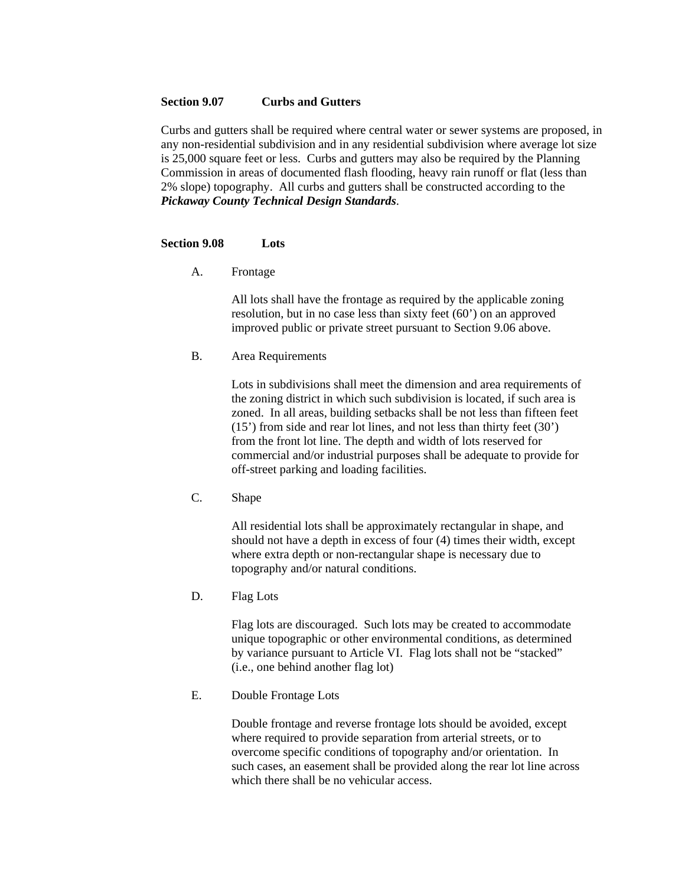#### **Section 9.07 Curbs and Gutters**

Curbs and gutters shall be required where central water or sewer systems are proposed, in any non-residential subdivision and in any residential subdivision where average lot size is 25,000 square feet or less. Curbs and gutters may also be required by the Planning Commission in areas of documented flash flooding, heavy rain runoff or flat (less than 2% slope) topography. All curbs and gutters shall be constructed according to the *Pickaway County Technical Design Standards*.

#### **Section 9.08 Lots**

A. Frontage

All lots shall have the frontage as required by the applicable zoning resolution, but in no case less than sixty feet (60') on an approved improved public or private street pursuant to Section 9.06 above.

B. Area Requirements

Lots in subdivisions shall meet the dimension and area requirements of the zoning district in which such subdivision is located, if such area is zoned. In all areas, building setbacks shall be not less than fifteen feet (15') from side and rear lot lines, and not less than thirty feet (30') from the front lot line. The depth and width of lots reserved for commercial and/or industrial purposes shall be adequate to provide for off-street parking and loading facilities.

C. Shape

All residential lots shall be approximately rectangular in shape, and should not have a depth in excess of four (4) times their width, except where extra depth or non-rectangular shape is necessary due to topography and/or natural conditions.

D. Flag Lots

Flag lots are discouraged. Such lots may be created to accommodate unique topographic or other environmental conditions, as determined by variance pursuant to Article VI. Flag lots shall not be "stacked" (i.e., one behind another flag lot)

E. Double Frontage Lots

Double frontage and reverse frontage lots should be avoided, except where required to provide separation from arterial streets, or to overcome specific conditions of topography and/or orientation. In such cases, an easement shall be provided along the rear lot line across which there shall be no vehicular access.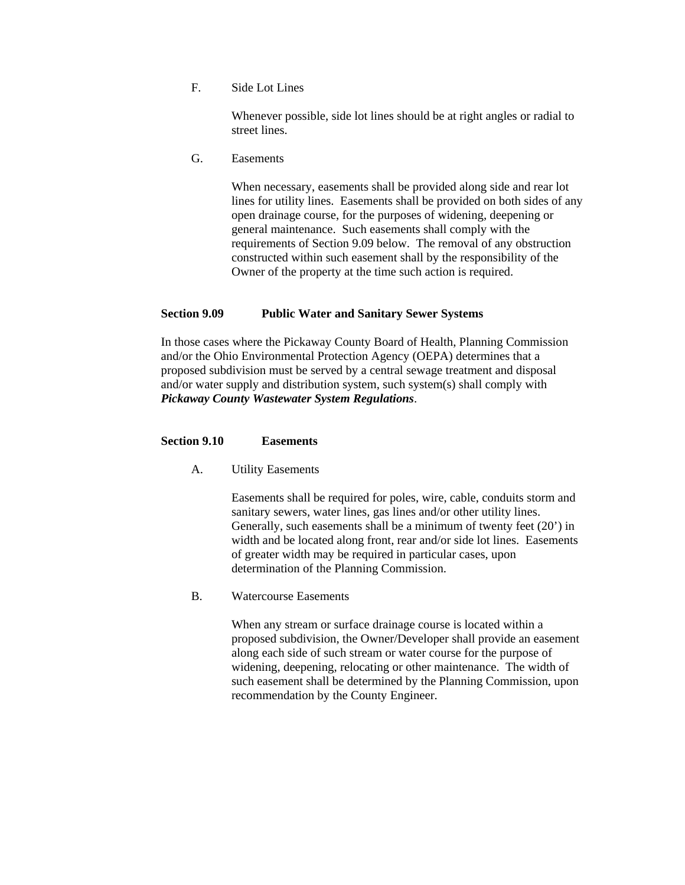F. Side Lot Lines

Whenever possible, side lot lines should be at right angles or radial to street lines.

G. Easements

When necessary, easements shall be provided along side and rear lot lines for utility lines. Easements shall be provided on both sides of any open drainage course, for the purposes of widening, deepening or general maintenance. Such easements shall comply with the requirements of Section 9.09 below. The removal of any obstruction constructed within such easement shall by the responsibility of the Owner of the property at the time such action is required.

#### **Section 9.09 Public Water and Sanitary Sewer Systems**

In those cases where the Pickaway County Board of Health, Planning Commission and/or the Ohio Environmental Protection Agency (OEPA) determines that a proposed subdivision must be served by a central sewage treatment and disposal and/or water supply and distribution system, such system(s) shall comply with *Pickaway County Wastewater System Regulations*.

#### **Section 9.10 Easements**

A. Utility Easements

Easements shall be required for poles, wire, cable, conduits storm and sanitary sewers, water lines, gas lines and/or other utility lines. Generally, such easements shall be a minimum of twenty feet (20') in width and be located along front, rear and/or side lot lines. Easements of greater width may be required in particular cases, upon determination of the Planning Commission.

B. Watercourse Easements

When any stream or surface drainage course is located within a proposed subdivision, the Owner/Developer shall provide an easement along each side of such stream or water course for the purpose of widening, deepening, relocating or other maintenance. The width of such easement shall be determined by the Planning Commission, upon recommendation by the County Engineer.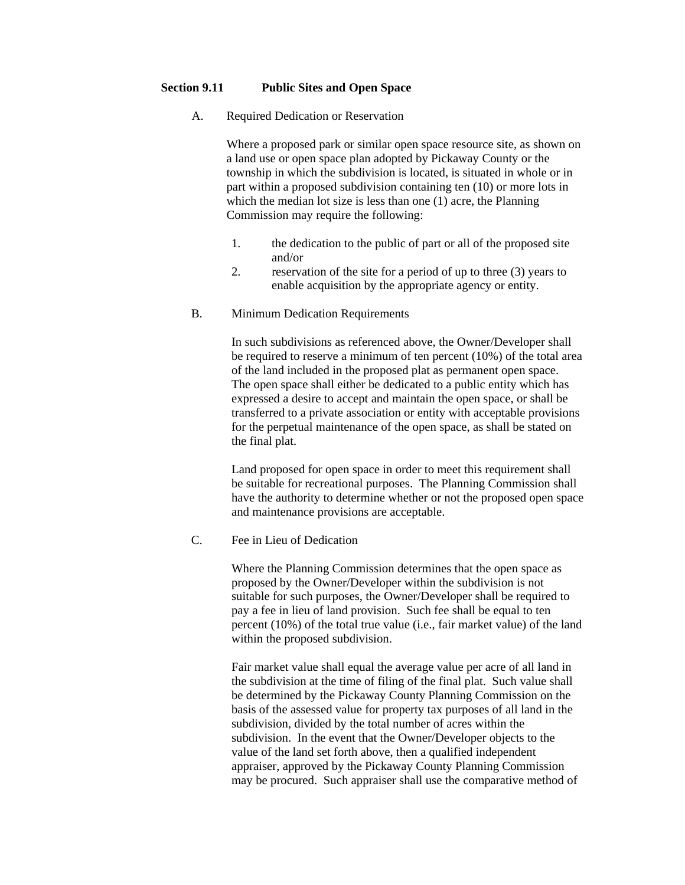#### **Section 9.11 Public Sites and Open Space**

A. Required Dedication or Reservation

 Where a proposed park or similar open space resource site, as shown on a land use or open space plan adopted by Pickaway County or the township in which the subdivision is located, is situated in whole or in part within a proposed subdivision containing ten (10) or more lots in which the median lot size is less than one (1) acre, the Planning Commission may require the following:

- 1. the dedication to the public of part or all of the proposed site and/or
- 2. reservation of the site for a period of up to three (3) years to enable acquisition by the appropriate agency or entity.
- B. Minimum Dedication Requirements

 In such subdivisions as referenced above, the Owner/Developer shall be required to reserve a minimum of ten percent (10%) of the total area of the land included in the proposed plat as permanent open space. The open space shall either be dedicated to a public entity which has expressed a desire to accept and maintain the open space, or shall be transferred to a private association or entity with acceptable provisions for the perpetual maintenance of the open space, as shall be stated on the final plat.

 Land proposed for open space in order to meet this requirement shall be suitable for recreational purposes. The Planning Commission shall have the authority to determine whether or not the proposed open space and maintenance provisions are acceptable.

C. Fee in Lieu of Dedication

 Where the Planning Commission determines that the open space as proposed by the Owner/Developer within the subdivision is not suitable for such purposes, the Owner/Developer shall be required to pay a fee in lieu of land provision. Such fee shall be equal to ten percent (10%) of the total true value (i.e., fair market value) of the land within the proposed subdivision.

Fair market value shall equal the average value per acre of all land in the subdivision at the time of filing of the final plat. Such value shall be determined by the Pickaway County Planning Commission on the basis of the assessed value for property tax purposes of all land in the subdivision, divided by the total number of acres within the subdivision. In the event that the Owner/Developer objects to the value of the land set forth above, then a qualified independent appraiser, approved by the Pickaway County Planning Commission may be procured. Such appraiser shall use the comparative method of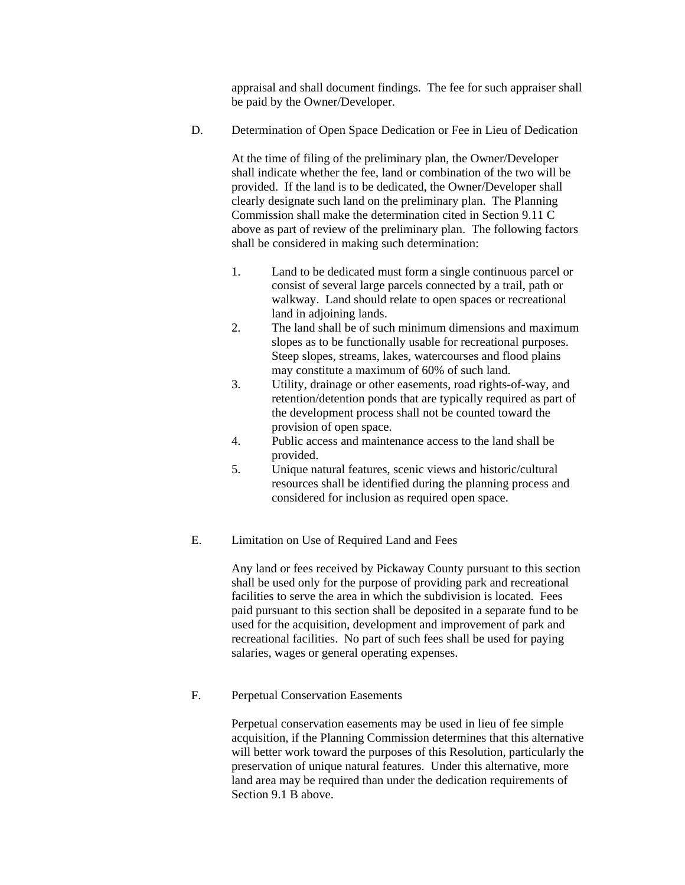appraisal and shall document findings. The fee for such appraiser shall be paid by the Owner/Developer.

D. Determination of Open Space Dedication or Fee in Lieu of Dedication

At the time of filing of the preliminary plan, the Owner/Developer shall indicate whether the fee, land or combination of the two will be provided. If the land is to be dedicated, the Owner/Developer shall clearly designate such land on the preliminary plan. The Planning Commission shall make the determination cited in Section 9.11 C above as part of review of the preliminary plan. The following factors shall be considered in making such determination:

- 1. Land to be dedicated must form a single continuous parcel or consist of several large parcels connected by a trail, path or walkway. Land should relate to open spaces or recreational land in adjoining lands.
- 2. The land shall be of such minimum dimensions and maximum slopes as to be functionally usable for recreational purposes. Steep slopes, streams, lakes, watercourses and flood plains may constitute a maximum of 60% of such land.
- 3. Utility, drainage or other easements, road rights-of-way, and retention/detention ponds that are typically required as part of the development process shall not be counted toward the provision of open space.
- 4. Public access and maintenance access to the land shall be provided.
- 5. Unique natural features, scenic views and historic/cultural resources shall be identified during the planning process and considered for inclusion as required open space.
- E. Limitation on Use of Required Land and Fees

Any land or fees received by Pickaway County pursuant to this section shall be used only for the purpose of providing park and recreational facilities to serve the area in which the subdivision is located. Fees paid pursuant to this section shall be deposited in a separate fund to be used for the acquisition, development and improvement of park and recreational facilities. No part of such fees shall be used for paying salaries, wages or general operating expenses.

F. Perpetual Conservation Easements

Perpetual conservation easements may be used in lieu of fee simple acquisition, if the Planning Commission determines that this alternative will better work toward the purposes of this Resolution, particularly the preservation of unique natural features. Under this alternative, more land area may be required than under the dedication requirements of Section 9.1 B above.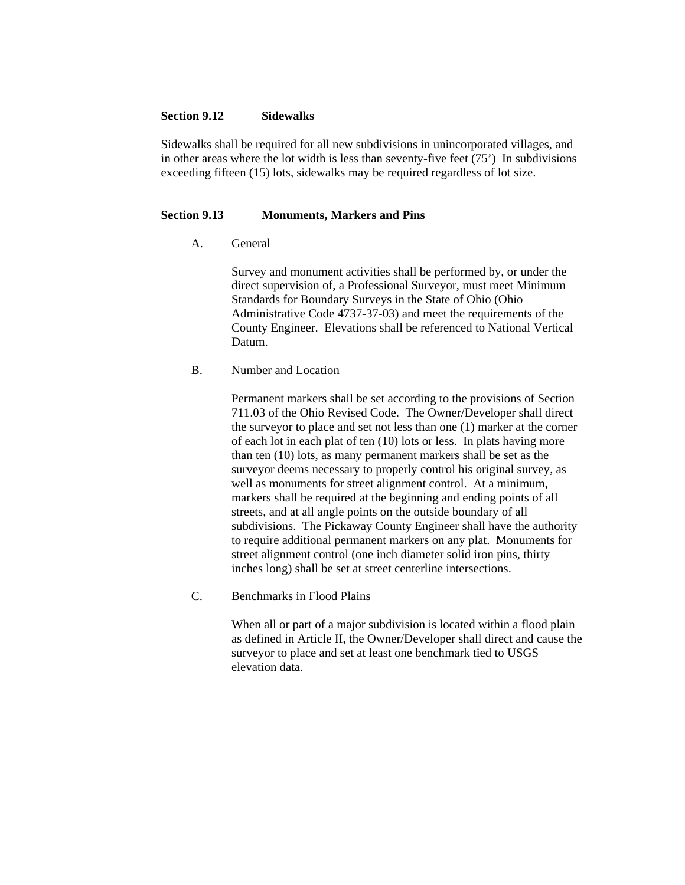#### **Section 9.12 Sidewalks**

Sidewalks shall be required for all new subdivisions in unincorporated villages, and in other areas where the lot width is less than seventy-five feet (75') In subdivisions exceeding fifteen (15) lots, sidewalks may be required regardless of lot size.

#### **Section 9.13 Monuments, Markers and Pins**

A. General

Survey and monument activities shall be performed by, or under the direct supervision of, a Professional Surveyor, must meet Minimum Standards for Boundary Surveys in the State of Ohio (Ohio Administrative Code 4737-37-03) and meet the requirements of the County Engineer. Elevations shall be referenced to National Vertical Datum.

#### B. Number and Location

Permanent markers shall be set according to the provisions of Section 711.03 of the Ohio Revised Code. The Owner/Developer shall direct the surveyor to place and set not less than one (1) marker at the corner of each lot in each plat of ten (10) lots or less. In plats having more than ten (10) lots, as many permanent markers shall be set as the surveyor deems necessary to properly control his original survey, as well as monuments for street alignment control. At a minimum, markers shall be required at the beginning and ending points of all streets, and at all angle points on the outside boundary of all subdivisions. The Pickaway County Engineer shall have the authority to require additional permanent markers on any plat. Monuments for street alignment control (one inch diameter solid iron pins, thirty inches long) shall be set at street centerline intersections.

C. Benchmarks in Flood Plains

When all or part of a major subdivision is located within a flood plain as defined in Article II, the Owner/Developer shall direct and cause the surveyor to place and set at least one benchmark tied to USGS elevation data.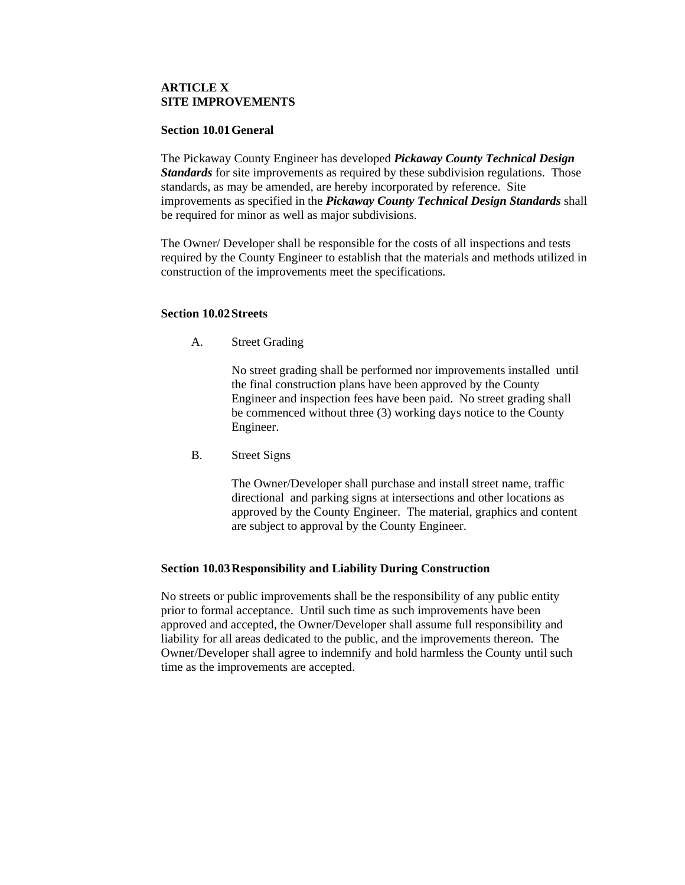#### **ARTICLE X SITE IMPROVEMENTS**

#### **Section 10.01 General**

The Pickaway County Engineer has developed *Pickaway County Technical Design Standards* for site improvements as required by these subdivision regulations. Those standards, as may be amended, are hereby incorporated by reference. Site improvements as specified in the *Pickaway County Technical Design Standards* shall be required for minor as well as major subdivisions.

The Owner/ Developer shall be responsible for the costs of all inspections and tests required by the County Engineer to establish that the materials and methods utilized in construction of the improvements meet the specifications.

#### **Section 10.02 Streets**

A. Street Grading

No street grading shall be performed nor improvements installed until the final construction plans have been approved by the County Engineer and inspection fees have been paid. No street grading shall be commenced without three (3) working days notice to the County Engineer.

B. Street Signs

The Owner/Developer shall purchase and install street name, traffic directional and parking signs at intersections and other locations as approved by the County Engineer. The material, graphics and content are subject to approval by the County Engineer.

#### **Section 10.03 Responsibility and Liability During Construction**

No streets or public improvements shall be the responsibility of any public entity prior to formal acceptance. Until such time as such improvements have been approved and accepted, the Owner/Developer shall assume full responsibility and liability for all areas dedicated to the public, and the improvements thereon. The Owner/Developer shall agree to indemnify and hold harmless the County until such time as the improvements are accepted.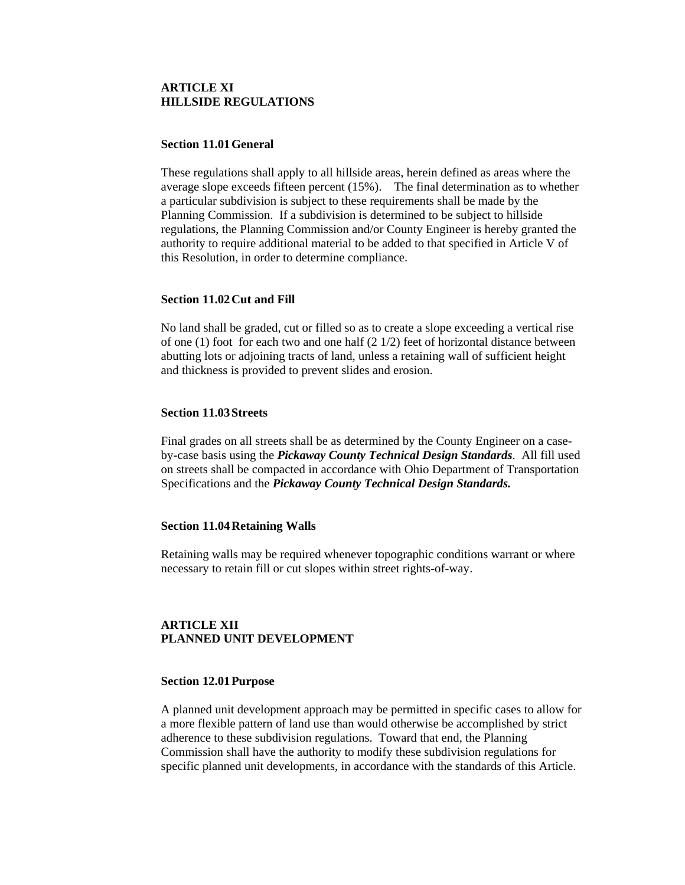#### **ARTICLE XI HILLSIDE REGULATIONS**

#### **Section 11.01 General**

These regulations shall apply to all hillside areas, herein defined as areas where the average slope exceeds fifteen percent (15%). The final determination as to whether a particular subdivision is subject to these requirements shall be made by the Planning Commission. If a subdivision is determined to be subject to hillside regulations, the Planning Commission and/or County Engineer is hereby granted the authority to require additional material to be added to that specified in Article V of this Resolution, in order to determine compliance.

#### **Section 11.02 Cut and Fill**

No land shall be graded, cut or filled so as to create a slope exceeding a vertical rise of one  $(1)$  foot for each two and one half  $(2 1/2)$  feet of horizontal distance between abutting lots or adjoining tracts of land, unless a retaining wall of sufficient height and thickness is provided to prevent slides and erosion.

#### **Section 11.03 Streets**

Final grades on all streets shall be as determined by the County Engineer on a caseby-case basis using the *Pickaway County Technical Design Standards*. All fill used on streets shall be compacted in accordance with Ohio Department of Transportation Specifications and the *Pickaway County Technical Design Standards.*

#### **Section 11.04 Retaining Walls**

Retaining walls may be required whenever topographic conditions warrant or where necessary to retain fill or cut slopes within street rights-of-way.

#### **ARTICLE XII PLANNED UNIT DEVELOPMENT**

#### **Section 12.01 Purpose**

A planned unit development approach may be permitted in specific cases to allow for a more flexible pattern of land use than would otherwise be accomplished by strict adherence to these subdivision regulations. Toward that end, the Planning Commission shall have the authority to modify these subdivision regulations for specific planned unit developments, in accordance with the standards of this Article.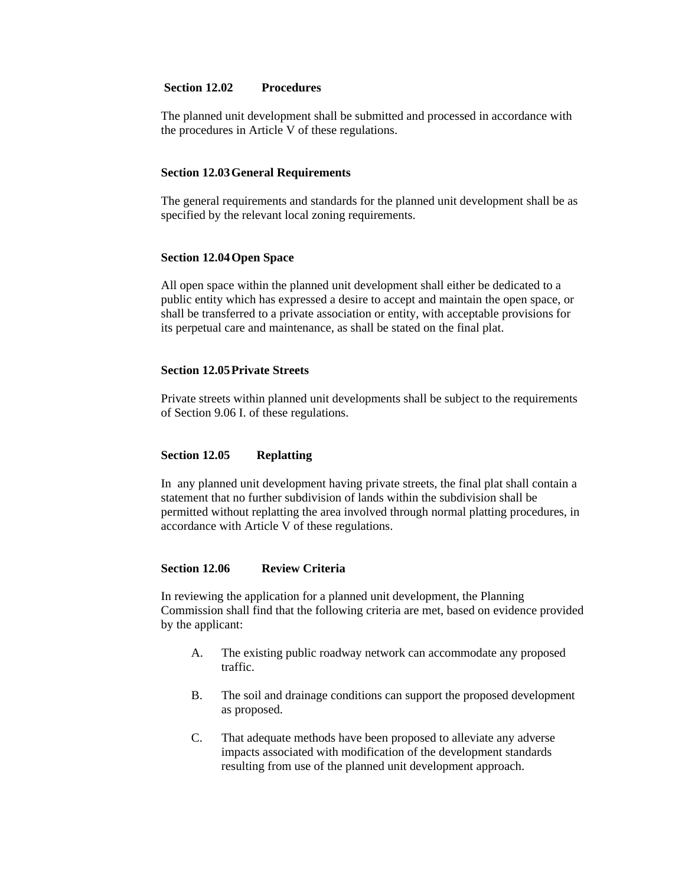#### **Section 12.02 Procedures**

The planned unit development shall be submitted and processed in accordance with the procedures in Article V of these regulations.

#### **Section 12.03 General Requirements**

The general requirements and standards for the planned unit development shall be as specified by the relevant local zoning requirements.

#### **Section 12.04 Open Space**

All open space within the planned unit development shall either be dedicated to a public entity which has expressed a desire to accept and maintain the open space, or shall be transferred to a private association or entity, with acceptable provisions for its perpetual care and maintenance, as shall be stated on the final plat.

#### **Section 12.05 Private Streets**

Private streets within planned unit developments shall be subject to the requirements of Section 9.06 I. of these regulations.

#### **Section 12.05 Replatting**

In any planned unit development having private streets, the final plat shall contain a statement that no further subdivision of lands within the subdivision shall be permitted without replatting the area involved through normal platting procedures, in accordance with Article V of these regulations.

#### **Section 12.06 Review Criteria**

In reviewing the application for a planned unit development, the Planning Commission shall find that the following criteria are met, based on evidence provided by the applicant:

- A. The existing public roadway network can accommodate any proposed traffic.
- B. The soil and drainage conditions can support the proposed development as proposed.
- C. That adequate methods have been proposed to alleviate any adverse impacts associated with modification of the development standards resulting from use of the planned unit development approach.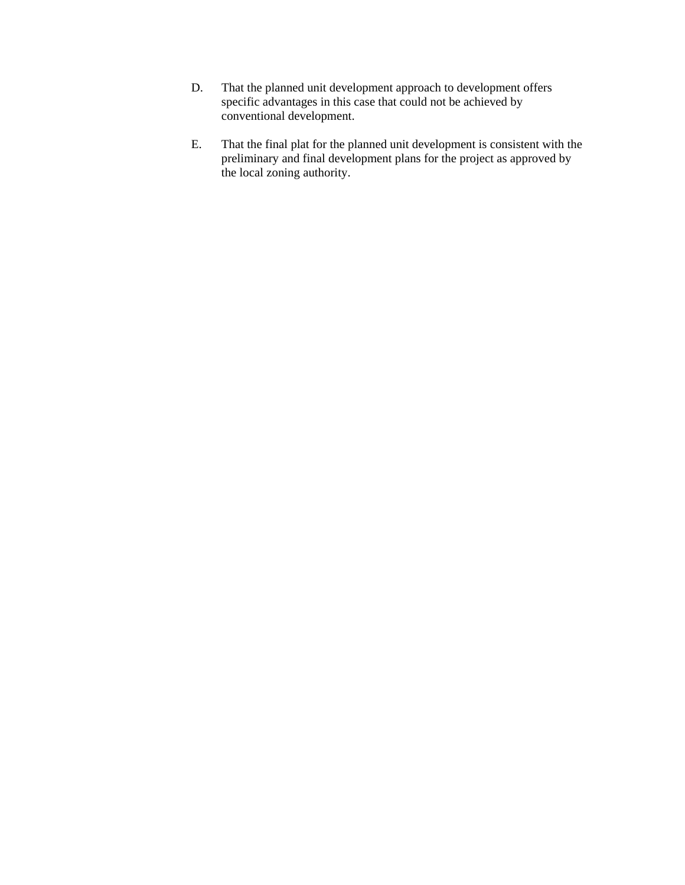- D. That the planned unit development approach to development offers specific advantages in this case that could not be achieved by conventional development.
- E. That the final plat for the planned unit development is consistent with the preliminary and final development plans for the project as approved by the local zoning authority.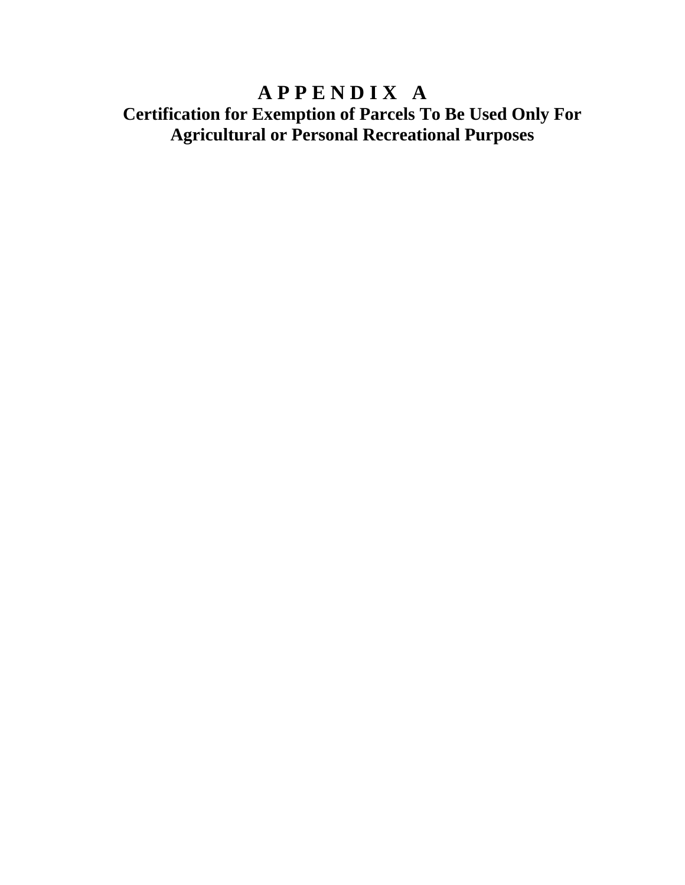## **A P P E N D I X A Certification for Exemption of Parcels To Be Used Only For Agricultural or Personal Recreational Purposes**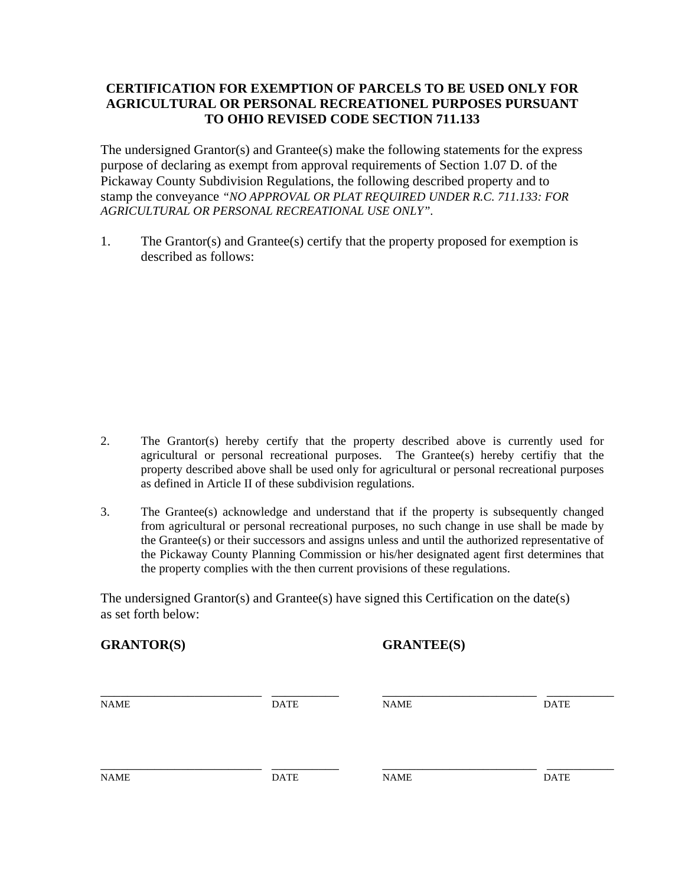#### **CERTIFICATION FOR EXEMPTION OF PARCELS TO BE USED ONLY FOR AGRICULTURAL OR PERSONAL RECREATIONEL PURPOSES PURSUANT TO OHIO REVISED CODE SECTION 711.133**

The undersigned Grantor(s) and Grantee(s) make the following statements for the express purpose of declaring as exempt from approval requirements of Section 1.07 D. of the Pickaway County Subdivision Regulations, the following described property and to stamp the conveyance *"NO APPROVAL OR PLAT REQUIRED UNDER R.C. 711.133: FOR AGRICULTURAL OR PERSONAL RECREATIONAL USE ONLY".*

1. The Grantor(s) and Grantee(s) certify that the property proposed for exemption is described as follows:

- 2. The Grantor(s) hereby certify that the property described above is currently used for agricultural or personal recreational purposes. The Grantee(s) hereby certifiy that the property described above shall be used only for agricultural or personal recreational purposes as defined in Article II of these subdivision regulations.
- 3. The Grantee(s) acknowledge and understand that if the property is subsequently changed from agricultural or personal recreational purposes, no such change in use shall be made by the Grantee(s) or their successors and assigns unless and until the authorized representative of the Pickaway County Planning Commission or his/her designated agent first determines that the property complies with the then current provisions of these regulations.

The undersigned Grantor(s) and Grantee(s) have signed this Certification on the date(s) as set forth below:

| <b>GRANTOR(S)</b> |             | <b>GRANTEE(S)</b> |             |
|-------------------|-------------|-------------------|-------------|
| <b>NAME</b>       | <b>DATE</b> | <b>NAME</b>       | <b>DATE</b> |
| <b>NAME</b>       | <b>DATE</b> | <b>NAME</b>       | <b>DATE</b> |